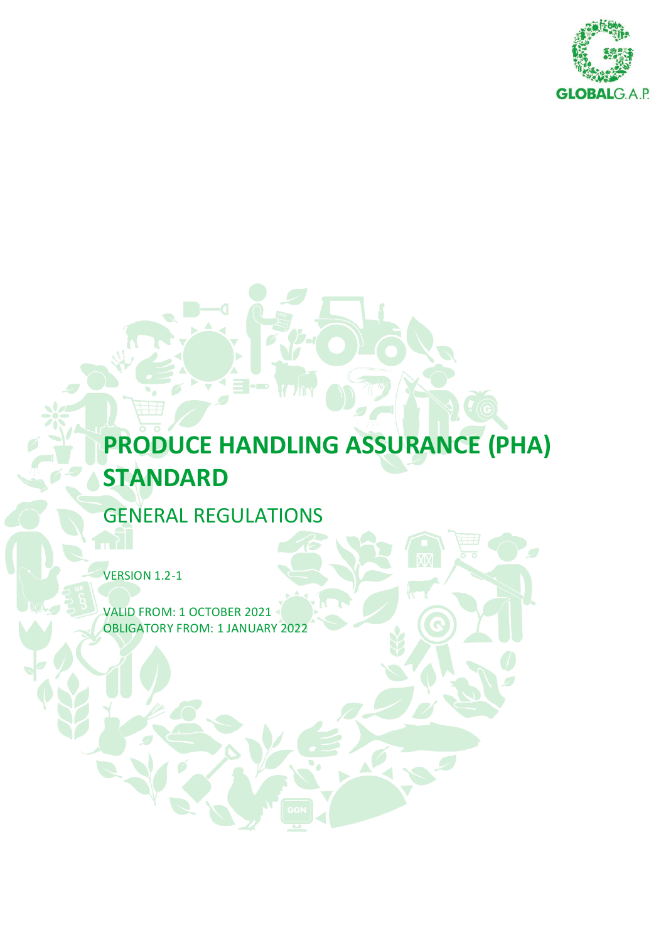

# **PRODUCE HANDLING ASSURANCE (PHA) STANDARD**

GENERAL REGULATIONS

VERSION 1.2-1

VALID FROM: 1 OCTOBER 2021 OBLIGATORY FROM: 1 JANUARY 2022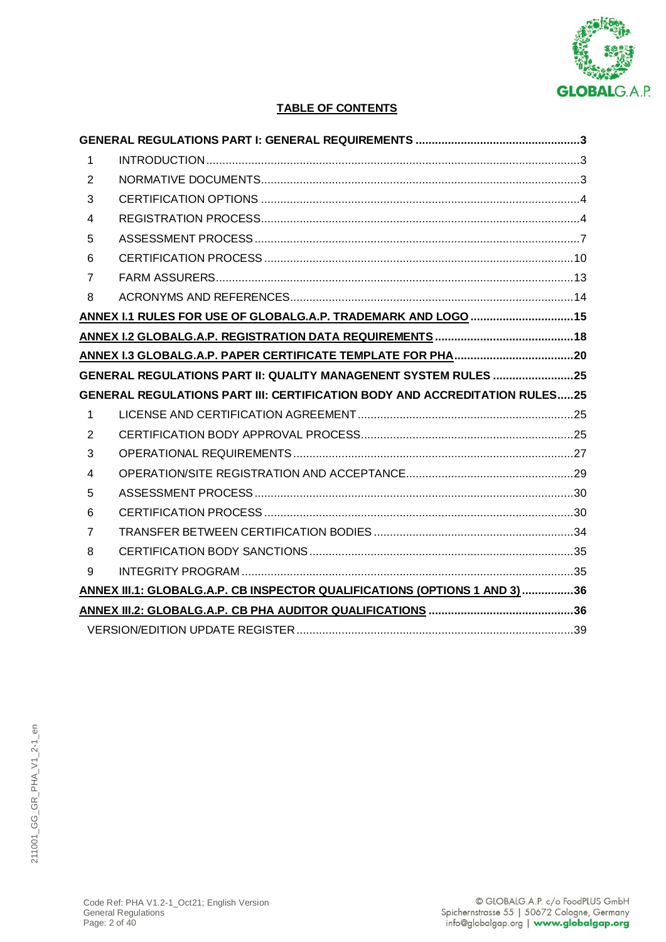

# **TABLE OF CONTENTS**

| 1              |                                                                                   |  |
|----------------|-----------------------------------------------------------------------------------|--|
| 2              |                                                                                   |  |
| 3              |                                                                                   |  |
| $\overline{4}$ |                                                                                   |  |
| 5              |                                                                                   |  |
| 6              |                                                                                   |  |
| $\overline{7}$ |                                                                                   |  |
| 8              |                                                                                   |  |
|                | ANNEX I.1 RULES FOR USE OF GLOBALG.A.P. TRADEMARK AND LOGO  15                    |  |
|                |                                                                                   |  |
|                |                                                                                   |  |
|                | GENERAL REGULATIONS PART II: QUALITY MANAGENENT SYSTEM RULES 25                   |  |
|                |                                                                                   |  |
|                | <b>GENERAL REGULATIONS PART III: CERTIFICATION BODY AND ACCREDITATION RULES25</b> |  |
| $\mathbf{1}$   |                                                                                   |  |
| 2              |                                                                                   |  |
| 3              |                                                                                   |  |
| $\overline{4}$ |                                                                                   |  |
| 5              |                                                                                   |  |
| 6              |                                                                                   |  |
| $\overline{7}$ |                                                                                   |  |
| 8              |                                                                                   |  |
| 9              |                                                                                   |  |
|                | ANNEX III.1: GLOBALG.A.P. CB INSPECTOR QUALIFICATIONS (OPTIONS 1 AND 3)36         |  |
|                |                                                                                   |  |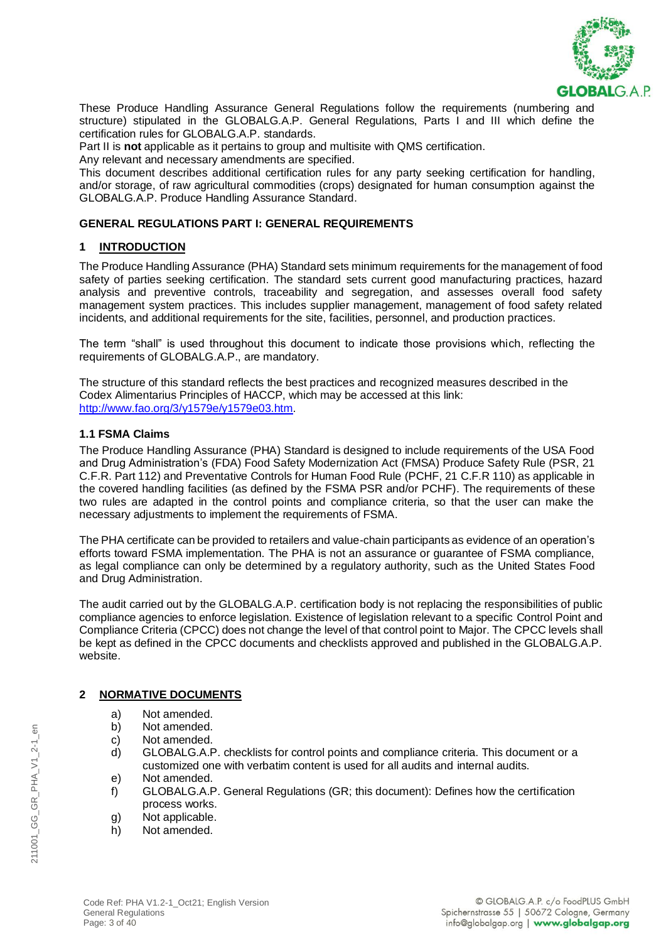

These Produce Handling Assurance General Regulations follow the requirements (numbering and structure) stipulated in the GLOBALG.A.P. General Regulations, Parts I and III which define the certification rules for GLOBALG.A.P. standards.

Part II is **not** applicable as it pertains to group and multisite with QMS certification.

Any relevant and necessary amendments are specified.

This document describes additional certification rules for any party seeking certification for handling, and/or storage, of raw agricultural commodities (crops) designated for human consumption against the GLOBALG.A.P. Produce Handling Assurance Standard.

### **GENERAL REGULATIONS PART I: GENERAL REQUIREMENTS**

### **1 INTRODUCTION**

The Produce Handling Assurance (PHA) Standard sets minimum requirements for the management of food safety of parties seeking certification. The standard sets current good manufacturing practices, hazard analysis and preventive controls, traceability and segregation, and assesses overall food safety management system practices. This includes supplier management, management of food safety related incidents, and additional requirements for the site, facilities, personnel, and production practices.

The term "shall" is used throughout this document to indicate those provisions which, reflecting the requirements of GLOBALG.A.P., are mandatory.

The structure of this standard reflects the best practices and recognized measures described in the Codex Alimentarius Principles of HACCP, which may be accessed at this link: [http://www.fao.org/3/y1579e/y1579e03.htm.](http://www.fao.org/3/y1579e/y1579e03.htm)

### **1.1 FSMA Claims**

The Produce Handling Assurance (PHA) Standard is designed to include requirements of the USA Food and Drug Administration's (FDA) Food Safety Modernization Act (FMSA) Produce Safety Rule (PSR, 21 C.F.R. Part 112) and Preventative Controls for Human Food Rule (PCHF, 21 C.F.R 110) as applicable in the covered handling facilities (as defined by the FSMA PSR and/or PCHF). The requirements of these two rules are adapted in the control points and compliance criteria, so that the user can make the necessary adjustments to implement the requirements of FSMA.

The PHA certificate can be provided to retailers and value-chain participants as evidence of an operation's efforts toward FSMA implementation. The PHA is not an assurance or guarantee of FSMA compliance, as legal compliance can only be determined by a regulatory authority, such as the United States Food and Drug Administration.

The audit carried out by the GLOBALG.A.P. certification body is not replacing the responsibilities of public compliance agencies to enforce legislation. Existence of legislation relevant to a specific Control Point and Compliance Criteria (CPCC) does not change the level of that control point to Major. The CPCC levels shall be kept as defined in the CPCC documents and checklists approved and published in the GLOBALG.A.P. website.

# **2 NORMATIVE DOCUMENTS**

- a) Not amended.
- b) Not amended.
- c) Not amended.
- d) GLOBALG.A.P. checklists for control points and compliance criteria. This document or a customized one with verbatim content is used for all audits and internal audits.
- e) Not amended.
- f) GLOBALG.A.P. General Regulations (GR; this document): Defines how the certification process works.
- g) Not applicable.
- h) Not amended.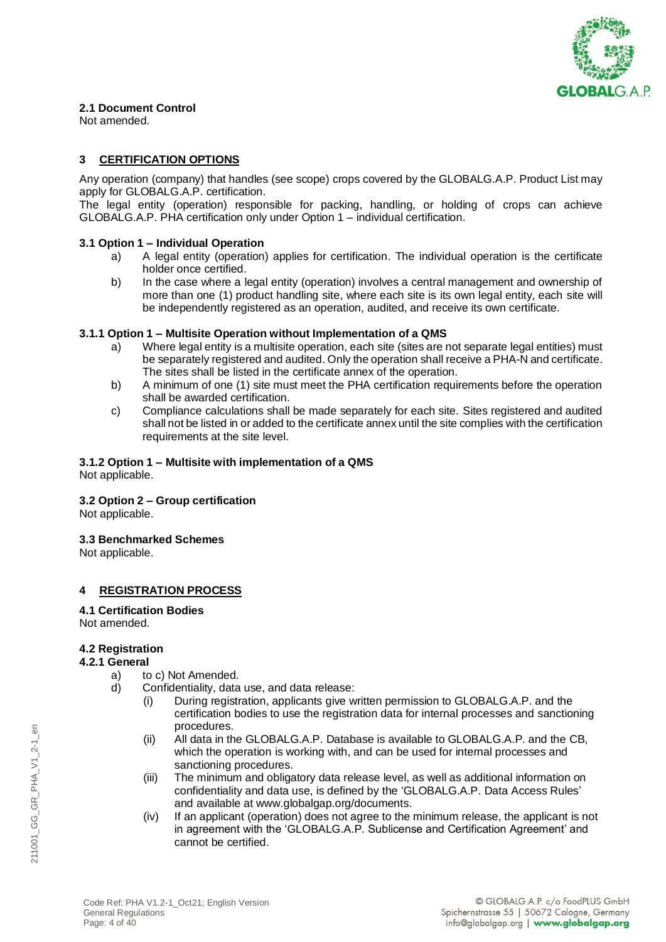

# **2.1 Document Control**

Not amended.

# **3 CERTIFICATION OPTIONS**

Any operation (company) that handles (see scope) crops covered by the GLOBALG.A.P. Product List may apply for GLOBALG.A.P. certification.

The legal entity (operation) responsible for packing, handling, or holding of crops can achieve GLOBALG.A.P. PHA certification only under Option 1 – individual certification.

### **3.1 Option 1 – Individual Operation**

- a) A legal entity (operation) applies for certification. The individual operation is the certificate holder once certified.
- b) In the case where a legal entity (operation) involves a central management and ownership of more than one (1) product handling site, where each site is its own legal entity, each site will be independently registered as an operation, audited, and receive its own certificate.

### **3.1.1 Option 1 – Multisite Operation without Implementation of a QMS**

- a) Where legal entity is a multisite operation, each site (sites are not separate legal entities) must be separately registered and audited. Only the operation shall receive a PHA-N and certificate. The sites shall be listed in the certificate annex of the operation.
- b) A minimum of one (1) site must meet the PHA certification requirements before the operation shall be awarded certification.
- c) Compliance calculations shall be made separately for each site. Sites registered and audited shall not be listed in or added to the certificate annex until the site complies with the certification requirements at the site level.

### **3.1.2 Option 1 – Multisite with implementation of a QMS**

Not applicable.

### **3.2 Option 2 – Group certification**

Not applicable.

### **3.3 Benchmarked Schemes**

Not applicable.

# **4 REGISTRATION PROCESS**

**4.1 Certification Bodies**

# Not amended.

### **4.2 Registration**

### **4.2.1 General**

- a) to c) Not Amended.
- d) Confidentiality, data use, and data release:
	- (i) During registration, applicants give written permission to GLOBALG.A.P. and the certification bodies to use the registration data for internal processes and sanctioning procedures.
	- (ii) All data in the GLOBALG.A.P. Database is available to GLOBALG.A.P. and the CB, which the operation is working with, and can be used for internal processes and sanctioning procedures.
	- (iii) The minimum and obligatory data release level, as well as additional information on confidentiality and data use, is defined by the 'GLOBALG.A.P. Data Access Rules' and available at [www.globalgap.org/documents.](file:///C:/Users/Rebecca/Desktop/PHA%20v1.1/www.globalgap.org/documents)
	- (iv) If an applicant (operation) does not agree to the minimum release, the applicant is not in agreement with the 'GLOBALG.A.P. Sublicense and Certification Agreement' and cannot be certified.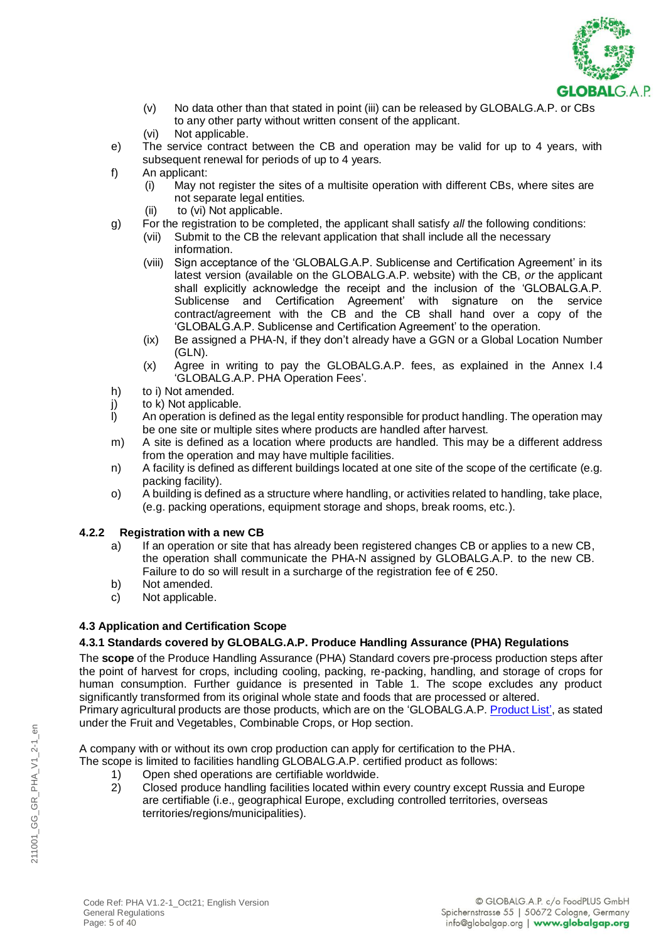

- (v) No data other than that stated in point (iii) can be released by GLOBALG.A.P. or CBs to any other party without written consent of the applicant.
- (vi) Not applicable.
- e) The service contract between the CB and operation may be valid for up to 4 years, with subsequent renewal for periods of up to 4 years.
- f) An applicant:
	- (i) May not register the sites of a multisite operation with different CBs, where sites are not separate legal entities.
	- (ii) to (vi) Not applicable.
- g) For the registration to be completed, the applicant shall satisfy *all* the following conditions:
	- (vii) Submit to the CB the relevant application that shall include all the necessary information.
	- (viii) Sign acceptance of the 'GLOBALG.A.P. Sublicense and Certification Agreement' in its latest version (available on the GLOBALG.A.P. website) with the CB, *or* the applicant shall explicitly acknowledge the receipt and the inclusion of the 'GLOBALG.A.P. Sublicense and Certification Agreement' with signature on the service contract/agreement with the CB and the CB shall hand over a copy of the 'GLOBALG.A.P. Sublicense and Certification Agreement' to the operation.
	- (ix) Be assigned a PHA-N, if they don't already have a GGN or a Global Location Number (GLN).
	- (x) Agree in writing to pay the GLOBALG.A.P. fees, as explained in the Annex I.4 'GLOBALG.A.P. PHA Operation Fees'.
- h) to i) Not amended.
- j) to k) Not applicable.<br>I) An operation is defin
- An operation is defined as the legal entity responsible for product handling. The operation may be one site or multiple sites where products are handled after harvest.
- m) A site is defined as a location where products are handled. This may be a different address from the operation and may have multiple facilities.
- n) A facility is defined as different buildings located at one site of the scope of the certificate (e.g. packing facility).
- o) A building is defined as a structure where handling, or activities related to handling, take place, (e.g. packing operations, equipment storage and shops, break rooms, etc.).

# **4.2.2 Registration with a new CB**

- a) If an operation or site that has already been registered changes CB or applies to a new CB, the operation shall communicate the PHA-N assigned by GLOBALG.A.P. to the new CB. Failure to do so will result in a surcharge of the registration fee of  $\epsilon$  250.
- b) Not amended.
- c) Not applicable.

# **4.3 Application and Certification Scope**

# **4.3.1 Standards covered by GLOBALG.A.P. Produce Handling Assurance (PHA) Regulations**

The **scope** of the Produce Handling Assurance (PHA) Standard covers pre-process production steps after the point of harvest for crops, including cooling, packing, re-packing, handling, and storage of crops for human consumption. Further guidance is presented in Table 1. The scope excludes any product significantly transformed from its original whole state and foods that are processed or altered. Primary agricultural products are those products, which are on the 'GLOBALG.A.P. [Product List'](http://www.globalgap.org/.content/.galleries/documents/GLOBALGAP_Product_List_en.pdf), as stated under the Fruit and Vegetables, Combinable Crops, or Hop section.

A company with or without its own crop production can apply for certification to the PHA.

- The scope is limited to facilities handling GLOBALG.A.P. certified product as follows:
	- 1) Open shed operations are certifiable worldwide.
	- 2) Closed produce handling facilities located within every country except Russia and Europe are certifiable (i.e., geographical Europe, excluding controlled territories, overseas territories/regions/municipalities).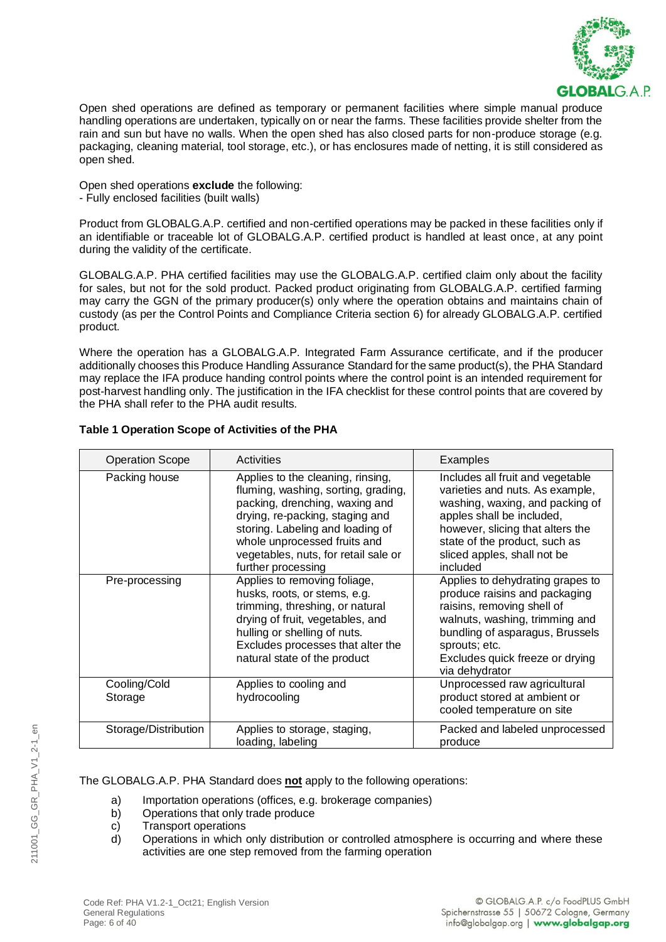

Open shed operations are defined as temporary or permanent facilities where simple manual produce handling operations are undertaken, typically on or near the farms. These facilities provide shelter from the rain and sun but have no walls. When the open shed has also closed parts for non-produce storage (e.g. packaging, cleaning material, tool storage, etc.), or has enclosures made of netting, it is still considered as open shed.

Open shed operations **exclude** the following: - Fully enclosed facilities (built walls)

Product from GLOBALG.A.P. certified and non-certified operations may be packed in these facilities only if an identifiable or traceable lot of GLOBALG.A.P. certified product is handled at least once, at any point during the validity of the certificate.

GLOBALG.A.P. PHA certified facilities may use the GLOBALG.A.P. certified claim only about the facility for sales, but not for the sold product. Packed product originating from GLOBALG.A.P. certified farming may carry the GGN of the primary producer(s) only where the operation obtains and maintains chain of custody (as per the Control Points and Compliance Criteria section 6) for already GLOBALG.A.P. certified product.

Where the operation has a GLOBALG.A.P. Integrated Farm Assurance certificate, and if the producer additionally chooses this Produce Handling Assurance Standard for the same product(s), the PHA Standard may replace the IFA produce handing control points where the control point is an intended requirement for post-harvest handling only. The justification in the IFA checklist for these control points that are covered by the PHA shall refer to the PHA audit results.

| <b>Operation Scope</b>  | Activities                                                                                                                                                                                                                                                                      | Examples                                                                                                                                                                                                                                            |  |
|-------------------------|---------------------------------------------------------------------------------------------------------------------------------------------------------------------------------------------------------------------------------------------------------------------------------|-----------------------------------------------------------------------------------------------------------------------------------------------------------------------------------------------------------------------------------------------------|--|
| Packing house           | Applies to the cleaning, rinsing,<br>fluming, washing, sorting, grading,<br>packing, drenching, waxing and<br>drying, re-packing, staging and<br>storing. Labeling and loading of<br>whole unprocessed fruits and<br>vegetables, nuts, for retail sale or<br>further processing | Includes all fruit and vegetable<br>varieties and nuts. As example,<br>washing, waxing, and packing of<br>apples shall be included,<br>however, slicing that alters the<br>state of the product, such as<br>sliced apples, shall not be<br>included |  |
| Pre-processing          | Applies to removing foliage,<br>husks, roots, or stems, e.g.<br>trimming, threshing, or natural<br>drying of fruit, vegetables, and<br>hulling or shelling of nuts.<br>Excludes processes that alter the<br>natural state of the product                                        | Applies to dehydrating grapes to<br>produce raisins and packaging<br>raisins, removing shell of<br>walnuts, washing, trimming and<br>bundling of asparagus, Brussels<br>sprouts; etc.<br>Excludes quick freeze or drying<br>via dehydrator          |  |
| Cooling/Cold<br>Storage | Applies to cooling and<br>hydrocooling                                                                                                                                                                                                                                          | Unprocessed raw agricultural<br>product stored at ambient or<br>cooled temperature on site                                                                                                                                                          |  |
| Storage/Distribution    | Applies to storage, staging,<br>loading, labeling                                                                                                                                                                                                                               | Packed and labeled unprocessed<br>produce                                                                                                                                                                                                           |  |

# **Table 1 Operation Scope of Activities of the PHA**

The GLOBALG.A.P. PHA Standard does **not** apply to the following operations:

- a) Importation operations (offices, e.g. brokerage companies)
- b) Operations that only trade produce
- c) Transport operations
- d) Operations in which only distribution or controlled atmosphere is occurring and where these activities are one step removed from the farming operation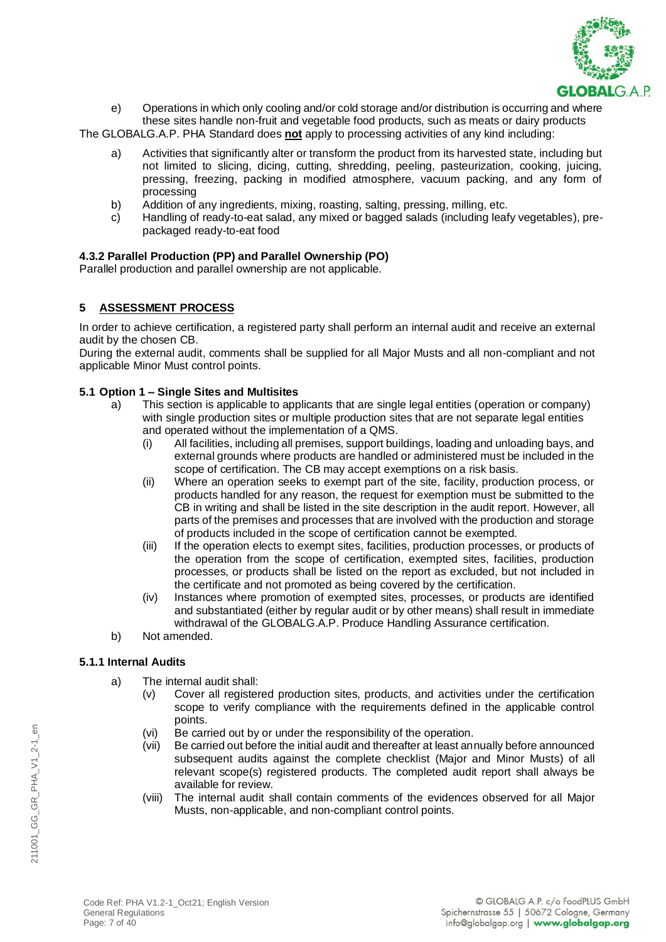

e) Operations in which only cooling and/or cold storage and/or distribution is occurring and where these sites handle non-fruit and vegetable food products, such as meats or dairy products

The GLOBALG.A.P. PHA Standard does **not** apply to processing activities of any kind including:

- a) Activities that significantly alter or transform the product from its harvested state, including but not limited to slicing, dicing, cutting, shredding, peeling, pasteurization, cooking, juicing, pressing, freezing, packing in modified atmosphere, vacuum packing, and any form of processing
- b) Addition of any ingredients, mixing, roasting, salting, pressing, milling, etc.
- c) Handling of ready-to-eat salad, any mixed or bagged salads (including leafy vegetables), prepackaged ready-to-eat food

### **4.3.2 Parallel Production (PP) and Parallel Ownership (PO)**

Parallel production and parallel ownership are not applicable.

### **5 ASSESSMENT PROCESS**

In order to achieve certification, a registered party shall perform an internal audit and receive an external audit by the chosen CB.

During the external audit, comments shall be supplied for all Major Musts and all non-compliant and not applicable Minor Must control points.

#### **5.1 Option 1 – Single Sites and Multisites**

- a) This section is applicable to applicants that are single legal entities (operation or company) with single production sites or multiple production sites that are not separate legal entities and operated without the implementation of a QMS.
	- (i) All facilities, including all premises, support buildings, loading and unloading bays, and external grounds where products are handled or administered must be included in the scope of certification. The CB may accept exemptions on a risk basis.
	- (ii) Where an operation seeks to exempt part of the site, facility, production process, or products handled for any reason, the request for exemption must be submitted to the CB in writing and shall be listed in the site description in the audit report. However, all parts of the premises and processes that are involved with the production and storage of products included in the scope of certification cannot be exempted.
	- (iii) If the operation elects to exempt sites, facilities, production processes, or products of the operation from the scope of certification, exempted sites, facilities, production processes, or products shall be listed on the report as excluded, but not included in the certificate and not promoted as being covered by the certification.
	- (iv) Instances where promotion of exempted sites, processes, or products are identified and substantiated (either by regular audit or by other means) shall result in immediate withdrawal of the GLOBALG.A.P. Produce Handling Assurance certification.
- b) Not amended.

### **5.1.1 Internal Audits**

- a) The internal audit shall:
	- (v) Cover all registered production sites, products, and activities under the certification scope to verify compliance with the requirements defined in the applicable control points.
	- (vi) Be carried out by or under the responsibility of the operation.
	- (vii) Be carried out before the initial audit and thereafter at least annually before announced subsequent audits against the complete checklist (Major and Minor Musts) of all relevant scope(s) registered products. The completed audit report shall always be available for review.
	- (viii) The internal audit shall contain comments of the evidences observed for all Major Musts, non-applicable, and non-compliant control points.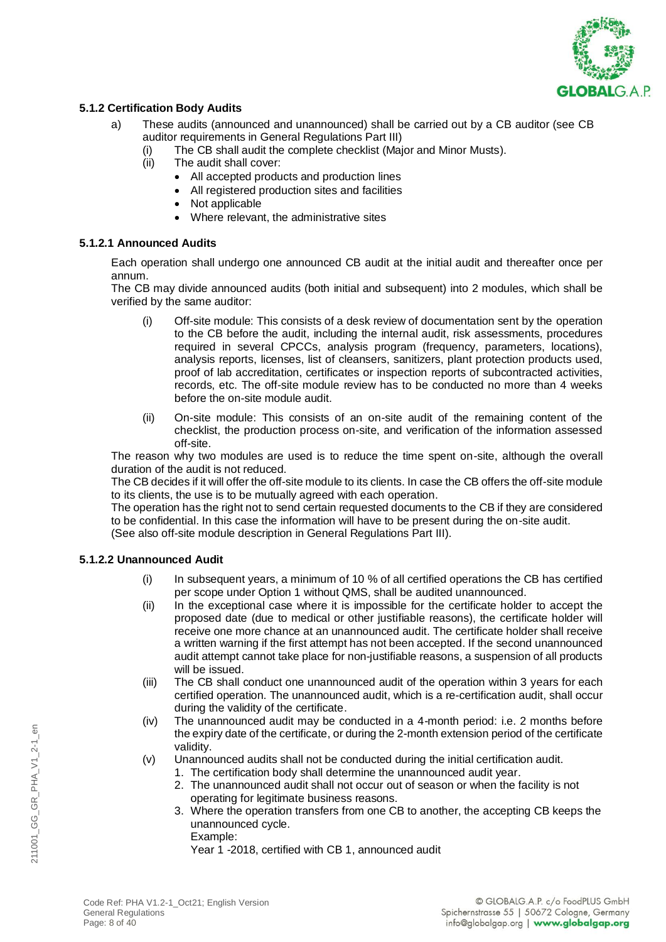

### **5.1.2 Certification Body Audits**

- a) These audits (announced and unannounced) shall be carried out by a CB auditor (see CB auditor requirements in General Regulations Part III)
	- (i) The CB shall audit the complete checklist (Major and Minor Musts).
	- (ii) The audit shall cover:
		- All accepted products and production lines
		- All registered production sites and facilities
		- Not applicable
		- Where relevant, the administrative sites

### **5.1.2.1 Announced Audits**

Each operation shall undergo one announced CB audit at the initial audit and thereafter once per annum.

The CB may divide announced audits (both initial and subsequent) into 2 modules, which shall be verified by the same auditor:

- (i) Off-site module: This consists of a desk review of documentation sent by the operation to the CB before the audit, including the internal audit, risk assessments, procedures required in several CPCCs, analysis program (frequency, parameters, locations), analysis reports, licenses, list of cleansers, sanitizers, plant protection products used, proof of lab accreditation, certificates or inspection reports of subcontracted activities, records, etc. The off-site module review has to be conducted no more than 4 weeks before the on-site module audit.
- (ii) On-site module: This consists of an on-site audit of the remaining content of the checklist, the production process on-site, and verification of the information assessed off-site.

The reason why two modules are used is to reduce the time spent on-site, although the overall duration of the audit is not reduced.

The CB decides if it will offer the off-site module to its clients. In case the CB offers the off-site module to its clients, the use is to be mutually agreed with each operation.

The operation has the right not to send certain requested documents to the CB if they are considered to be confidential. In this case the information will have to be present during the on-site audit.

(See also off-site module description in General Regulations Part III).

### **5.1.2.2 Unannounced Audit**

- (i) In subsequent years, a minimum of 10 % of all certified operations the CB has certified per scope under Option 1 without QMS, shall be audited unannounced.
- (ii) In the exceptional case where it is impossible for the certificate holder to accept the proposed date (due to medical or other justifiable reasons), the certificate holder will receive one more chance at an unannounced audit. The certificate holder shall receive a written warning if the first attempt has not been accepted. If the second unannounced audit attempt cannot take place for non-justifiable reasons, a suspension of all products will be issued.
- (iii) The CB shall conduct one unannounced audit of the operation within 3 years for each certified operation. The unannounced audit, which is a re-certification audit, shall occur during the validity of the certificate.
- (iv) The unannounced audit may be conducted in a 4-month period: i.e. 2 months before the expiry date of the certificate, or during the 2-month extension period of the certificate validity.
- (v) Unannounced audits shall not be conducted during the initial certification audit.
	- 1. The certification body shall determine the unannounced audit year.
	- 2. The unannounced audit shall not occur out of season or when the facility is not operating for legitimate business reasons.
	- 3. Where the operation transfers from one CB to another, the accepting CB keeps the unannounced cycle.

Example:

Year 1 -2018, certified with CB 1, announced audit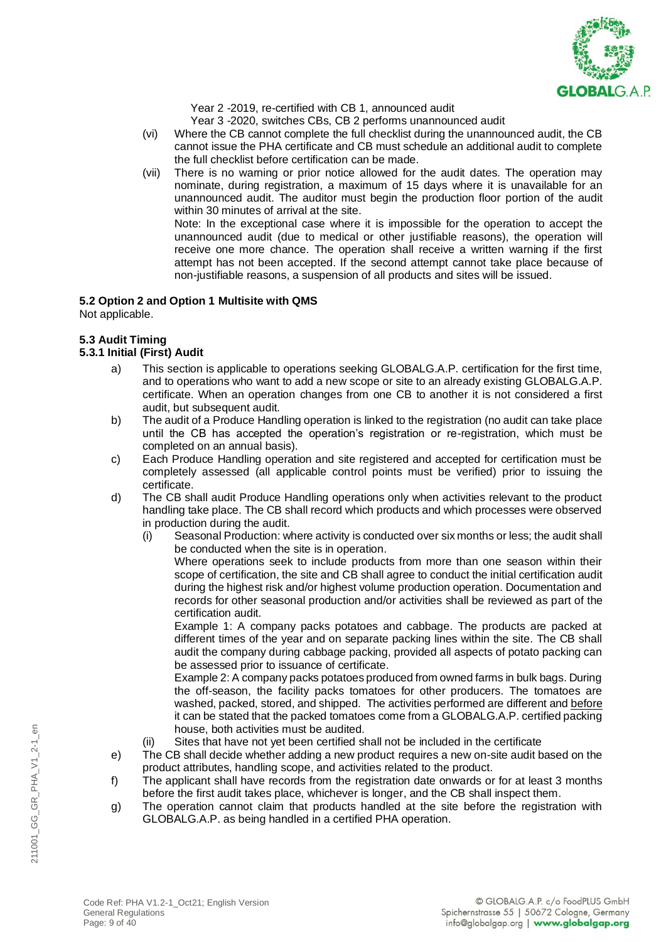

Year 2 -2019, re-certified with CB 1, announced audit

Year 3 -2020, switches CBs, CB 2 performs unannounced audit

- (vi) Where the CB cannot complete the full checklist during the unannounced audit, the CB cannot issue the PHA certificate and CB must schedule an additional audit to complete the full checklist before certification can be made.
- (vii) There is no warning or prior notice allowed for the audit dates. The operation may nominate, during registration, a maximum of 15 days where it is unavailable for an unannounced audit. The auditor must begin the production floor portion of the audit within 30 minutes of arrival at the site. Note: In the exceptional case where it is impossible for the operation to accept the

unannounced audit (due to medical or other justifiable reasons), the operation will receive one more chance. The operation shall receive a written warning if the first attempt has not been accepted. If the second attempt cannot take place because of non-justifiable reasons, a suspension of all products and sites will be issued.

# **5.2 Option 2 and Option 1 Multisite with QMS**

Not applicable.

# **5.3 Audit Timing**

### **5.3.1 Initial (First) Audit**

- a) This section is applicable to operations seeking GLOBALG.A.P. certification for the first time, and to operations who want to add a new scope or site to an already existing GLOBALG.A.P. certificate. When an operation changes from one CB to another it is not considered a first audit, but subsequent audit.
- b) The audit of a Produce Handling operation is linked to the registration (no audit can take place until the CB has accepted the operation's registration or re-registration, which must be completed on an annual basis).
- c) Each Produce Handling operation and site registered and accepted for certification must be completely assessed (all applicable control points must be verified) prior to issuing the certificate.
- d) The CB shall audit Produce Handling operations only when activities relevant to the product handling take place. The CB shall record which products and which processes were observed in production during the audit.
	- (i) Seasonal Production: where activity is conducted over six months or less; the audit shall be conducted when the site is in operation.

Where operations seek to include products from more than one season within their scope of certification, the site and CB shall agree to conduct the initial certification audit during the highest risk and/or highest volume production operation. Documentation and records for other seasonal production and/or activities shall be reviewed as part of the certification audit.

Example 1: A company packs potatoes and cabbage. The products are packed at different times of the year and on separate packing lines within the site. The CB shall audit the company during cabbage packing, provided all aspects of potato packing can be assessed prior to issuance of certificate.

Example 2: A company packs potatoes produced from owned farms in bulk bags. During the off-season, the facility packs tomatoes for other producers. The tomatoes are washed, packed, stored, and shipped. The activities performed are different and before it can be stated that the packed tomatoes come from a GLOBALG.A.P. certified packing house, both activities must be audited.

- (ii) Sites that have not yet been certified shall not be included in the certificate
- e) The CB shall decide whether adding a new product requires a new on-site audit based on the product attributes, handling scope, and activities related to the product.
- f) The applicant shall have records from the registration date onwards or for at least 3 months before the first audit takes place, whichever is longer, and the CB shall inspect them.
- g) The operation cannot claim that products handled at the site before the registration with GLOBALG.A.P. as being handled in a certified PHA operation.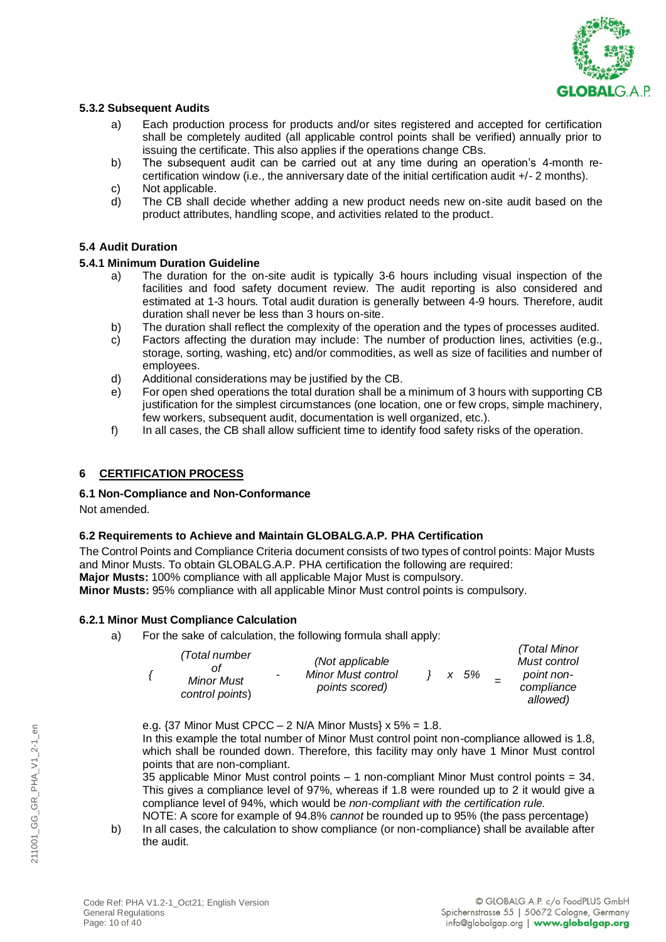

### **5.3.2 Subsequent Audits**

- a) Each production process for products and/or sites registered and accepted for certification shall be completely audited (all applicable control points shall be verified) annually prior to issuing the certificate. This also applies if the operations change CBs.
- b) The subsequent audit can be carried out at any time during an operation's 4-month recertification window (i.e., the anniversary date of the initial certification audit +/- 2 months).
- c) Not applicable.<br>d) The CB shall c
- The CB shall decide whether adding a new product needs new on-site audit based on the product attributes, handling scope, and activities related to the product.

### **5.4 Audit Duration**

### **5.4.1 Minimum Duration Guideline**

- a) The duration for the on-site audit is typically 3-6 hours including visual inspection of the facilities and food safety document review. The audit reporting is also considered and estimated at 1-3 hours. Total audit duration is generally between 4-9 hours. Therefore, audit duration shall never be less than 3 hours on-site.
- b) The duration shall reflect the complexity of the operation and the types of processes audited.
- c) Factors affecting the duration may include: The number of production lines, activities (e.g., storage, sorting, washing, etc) and/or commodities, as well as size of facilities and number of employees.
- d) Additional considerations may be justified by the CB.
- e) For open shed operations the total duration shall be a minimum of 3 hours with supporting CB justification for the simplest circumstances (one location, one or few crops, simple machinery, few workers, subsequent audit, documentation is well organized, etc.).
- f) In all cases, the CB shall allow sufficient time to identify food safety risks of the operation.

# **6 CERTIFICATION PROCESS**

### **6.1 Non-Compliance and Non-Conformance**

Not amended.

# **6.2 Requirements to Achieve and Maintain GLOBALG.A.P. PHA Certification**

The Control Points and Compliance Criteria document consists of two types of control points: Major Musts and Minor Musts. To obtain GLOBALG.A.P. PHA certification the following are required: **Major Musts:** 100% compliance with all applicable Major Must is compulsory. **Minor Musts:** 95% compliance with all applicable Minor Must control points is compulsory.

# **6.2.1 Minor Must Compliance Calculation**

a) For the sake of calculation, the following formula shall apply:

|  | (Total number<br><b>Minor Must</b><br>control points) | $\sim$ | (Not applicable)<br><b>Minor Must control</b><br>points scored) |  |  | x 5% |  | (Total Minor<br>Must control<br>point non-<br>compliance<br>allowed) |
|--|-------------------------------------------------------|--------|-----------------------------------------------------------------|--|--|------|--|----------------------------------------------------------------------|
|--|-------------------------------------------------------|--------|-----------------------------------------------------------------|--|--|------|--|----------------------------------------------------------------------|

e.g. {37 Minor Must CPCC – 2 N/A Minor Musts} x 5% = 1.8.

In this example the total number of Minor Must control point non-compliance allowed is 1.8, which shall be rounded down. Therefore, this facility may only have 1 Minor Must control points that are non-compliant.

35 applicable Minor Must control points – 1 non-compliant Minor Must control points = 34. This gives a compliance level of 97%, whereas if 1.8 were rounded up to 2 it would give a compliance level of 94%, which would be *non-compliant with the certification rule.*  NOTE: A score for example of 94.8% *cannot* be rounded up to 95% (the pass percentage)

b) In all cases, the calculation to show compliance (or non-compliance) shall be available after the audit.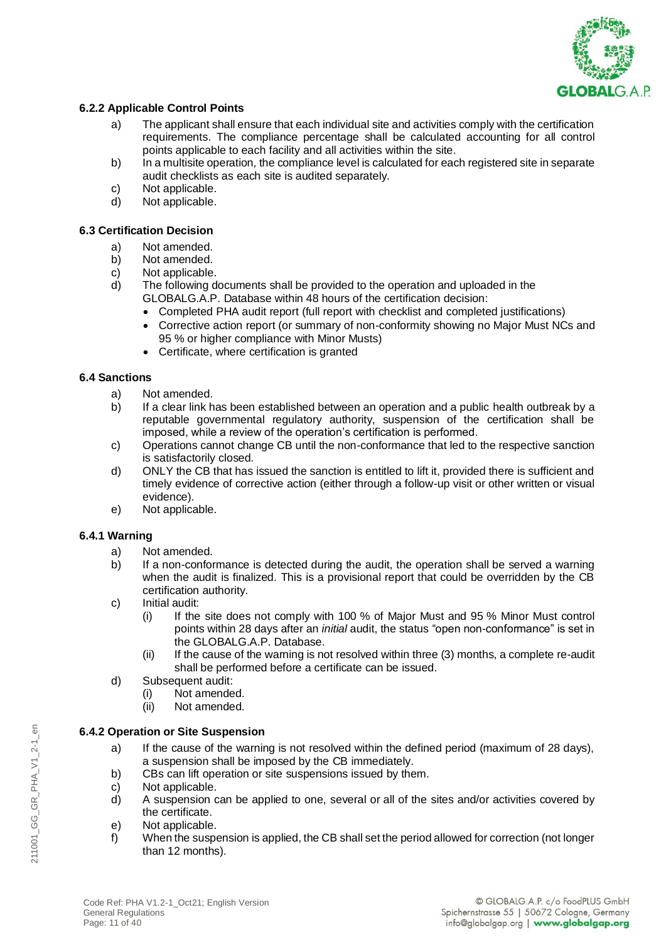

# **6.2.2 Applicable Control Points**

- a) The applicant shall ensure that each individual site and activities comply with the certification requirements. The compliance percentage shall be calculated accounting for all control points applicable to each facility and all activities within the site.
- b) In a multisite operation*,* the compliance level is calculated for each registered site in separate audit checklists as each site is audited separately.
- c) Not applicable.<br>d) Not applicable.
- Not applicable.

### **6.3 Certification Decision**

- a) Not amended.
- b) Not amended.
- c) Not applicable.
- d) The following documents shall be provided to the operation and uploaded in the GLOBALG.A.P. Database within 48 hours of the certification decision:
	- Completed PHA audit report (full report with checklist and completed justifications)
	- Corrective action report (or summary of non-conformity showing no Major Must NCs and 95 % or higher compliance with Minor Musts)
	- Certificate, where certification is granted

### **6.4 Sanctions**

- a) Not amended.
- b) If a clear link has been established between an operation and a public health outbreak by a reputable governmental regulatory authority, suspension of the certification shall be imposed, while a review of the operation's certification is performed.
- c) Operations cannot change CB until the non-conformance that led to the respective sanction is satisfactorily closed.
- d) ONLY the CB that has issued the sanction is entitled to lift it, provided there is sufficient and timely evidence of corrective action (either through a follow-up visit or other written or visual evidence).
- e) Not applicable.

### **6.4.1 Warning**

- a) Not amended.
- b) If a non-conformance is detected during the audit, the operation shall be served a warning when the audit is finalized. This is a provisional report that could be overridden by the CB certification authority.
- c) Initial audit:
	- (i) If the site does not comply with 100 % of Major Must and 95 % Minor Must control points within 28 days after an *initial* audit, the status "open non-conformance" is set in the GLOBALG.A.P. Database.
	- (ii) If the cause of the warning is not resolved within three (3) months, a complete re-audit shall be performed before a certificate can be issued.
- d) Subsequent audit:
	- (i) Not amended.
	- (ii) Not amended.

# **6.4.2 Operation or Site Suspension**

- a) If the cause of the warning is not resolved within the defined period (maximum of 28 days), a suspension shall be imposed by the CB immediately.
- b) CBs can lift operation or site suspensions issued by them.
- c) Not applicable.
- d) A suspension can be applied to one, several or all of the sites and/or activities covered by the certificate.
- e) Not applicable.
- f) When the suspension is applied, the CB shall set the period allowed for correction (not longer than 12 months).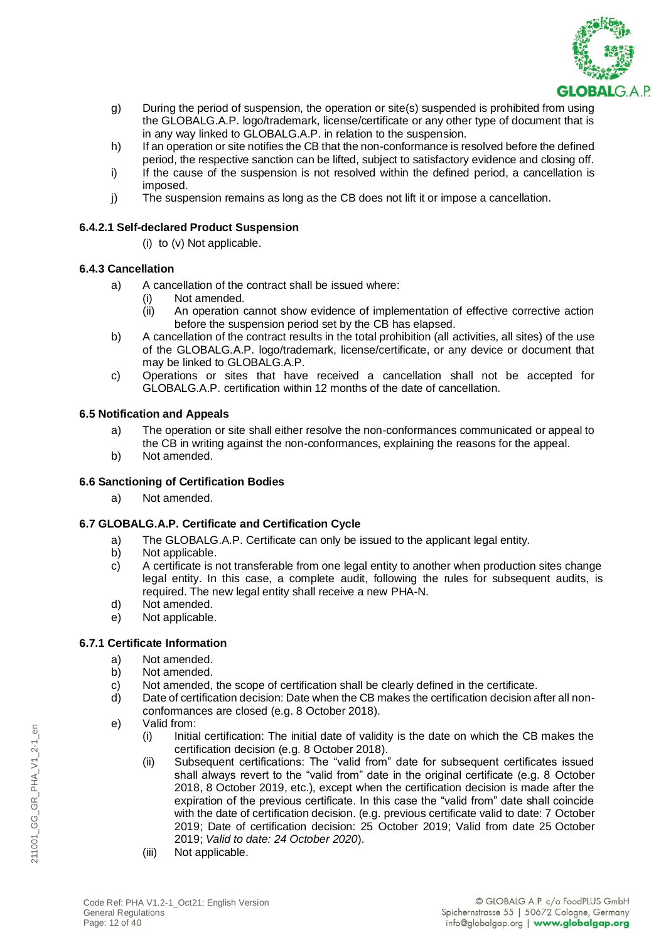

- g) During the period of suspension, the operation or site(s) suspended is prohibited from using the GLOBALG.A.P. logo/trademark, license/certificate or any other type of document that is in any way linked to GLOBALG.A.P. in relation to the suspension.
- h) If an operation or site notifies the CB that the non-conformance is resolved before the defined period, the respective sanction can be lifted, subject to satisfactory evidence and closing off.
- i) If the cause of the suspension is not resolved within the defined period, a cancellation is imposed.
- j) The suspension remains as long as the CB does not lift it or impose a cancellation.

### **6.4.2.1 Self-declared Product Suspension**

(i) to (v) Not applicable.

### **6.4.3 Cancellation**

- a) A cancellation of the contract shall be issued where:
	- (i) Not amended.
	- (ii) An operation cannot show evidence of implementation of effective corrective action before the suspension period set by the CB has elapsed.
- b) A cancellation of the contract results in the total prohibition (all activities, all sites) of the use of the GLOBALG.A.P. logo/trademark, license/certificate, or any device or document that may be linked to GLOBALG.A.P.
- c) Operations or sites that have received a cancellation shall not be accepted for GLOBALG.A.P. certification within 12 months of the date of cancellation.

### **6.5 Notification and Appeals**

- a) The operation or site shall either resolve the non-conformances communicated or appeal to the CB in writing against the non-conformances, explaining the reasons for the appeal.
- b) Not amended.

# **6.6 Sanctioning of Certification Bodies**

a) Not amended.

# **6.7 GLOBALG.A.P. Certificate and Certification Cycle**

- a) The GLOBALG.A.P. Certificate can only be issued to the applicant legal entity.
- b) Not applicable.
- c) A certificate is not transferable from one legal entity to another when production sites change legal entity. In this case, a complete audit, following the rules for subsequent audits, is required. The new legal entity shall receive a new PHA-N.
- d) Not amended.
- e) Not applicable.

# **6.7.1 Certificate Information**

- a) Not amended.
- b) Not amended.
- c) Not amended, the scope of certification shall be clearly defined in the certificate.
- d) Date of certification decision: Date when the CB makes the certification decision after all nonconformances are closed (e.g. 8 October 2018).
- e) Valid from:
	- (i) Initial certification: The initial date of validity is the date on which the CB makes the certification decision (e.g. 8 October 2018).
	- (ii) Subsequent certifications: The "valid from" date for subsequent certificates issued shall always revert to the "valid from" date in the original certificate (e.g. 8 October 2018, 8 October 2019, etc.), except when the certification decision is made after the expiration of the previous certificate. In this case the "valid from" date shall coincide with the date of certification decision. (e.g. previous certificate valid to date: 7 October 2019; Date of certification decision: 25 October 2019; Valid from date 25 October 2019; *Valid to date: 24 October 2020*).
	- (iii) Not applicable.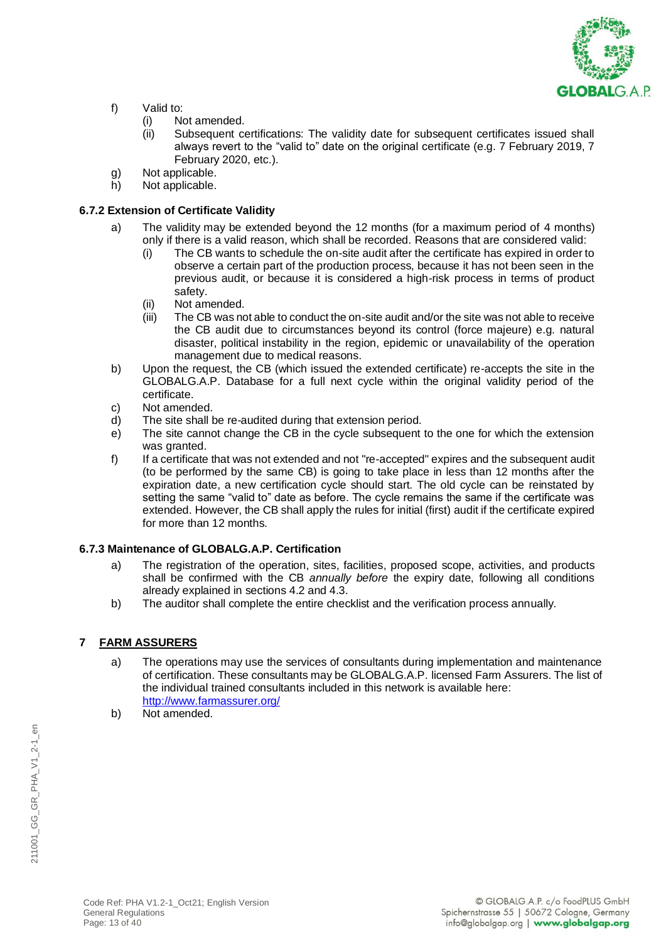

- f) Valid to:
	- (i) Not amended.
	- (ii) Subsequent certifications: The validity date for subsequent certificates issued shall always revert to the "valid to" date on the original certificate (e.g. 7 February 2019, 7 February 2020, etc.).
- g) Not applicable.
- h) Not applicable.

### **6.7.2 Extension of Certificate Validity**

- a) The validity may be extended beyond the 12 months (for a maximum period of 4 months) only if there is a valid reason, which shall be recorded. Reasons that are considered valid:
	- (i) The CB wants to schedule the on-site audit after the certificate has expired in order to observe a certain part of the production process, because it has not been seen in the previous audit, or because it is considered a high-risk process in terms of product safety.
	- (ii) Not amended.
	- (iii) The CB was not able to conduct the on-site audit and/or the site was not able to receive the CB audit due to circumstances beyond its control (force majeure) e.g. natural disaster, political instability in the region, epidemic or unavailability of the operation management due to medical reasons.
- b) Upon the request, the CB (which issued the extended certificate) re-accepts the site in the GLOBALG.A.P. Database for a full next cycle within the original validity period of the certificate.
- c) Not amended.
- d) The site shall be re-audited during that extension period.
- e) The site cannot change the CB in the cycle subsequent to the one for which the extension was granted.
- f) If a certificate that was not extended and not "re-accepted" expires and the subsequent audit (to be performed by the same CB) is going to take place in less than 12 months after the expiration date, a new certification cycle should start. The old cycle can be reinstated by setting the same "valid to" date as before. The cycle remains the same if the certificate was extended. However, the CB shall apply the rules for initial (first) audit if the certificate expired for more than 12 months.

### **6.7.3 Maintenance of GLOBALG.A.P. Certification**

- a) The registration of the operation, sites, facilities, proposed scope, activities, and products shall be confirmed with the CB *annually before* the expiry date, following all conditions already explained in sections 4.2 and 4.3.
- b) The auditor shall complete the entire checklist and the verification process annually.

# **7 FARM ASSURERS**

- a) The operations may use the services of consultants during implementation and maintenance of certification. These consultants may be GLOBALG.A.P. licensed Farm Assurers. The list of the individual trained consultants included in this network is available here: <http://www.farmassurer.org/>
- b) Not amended.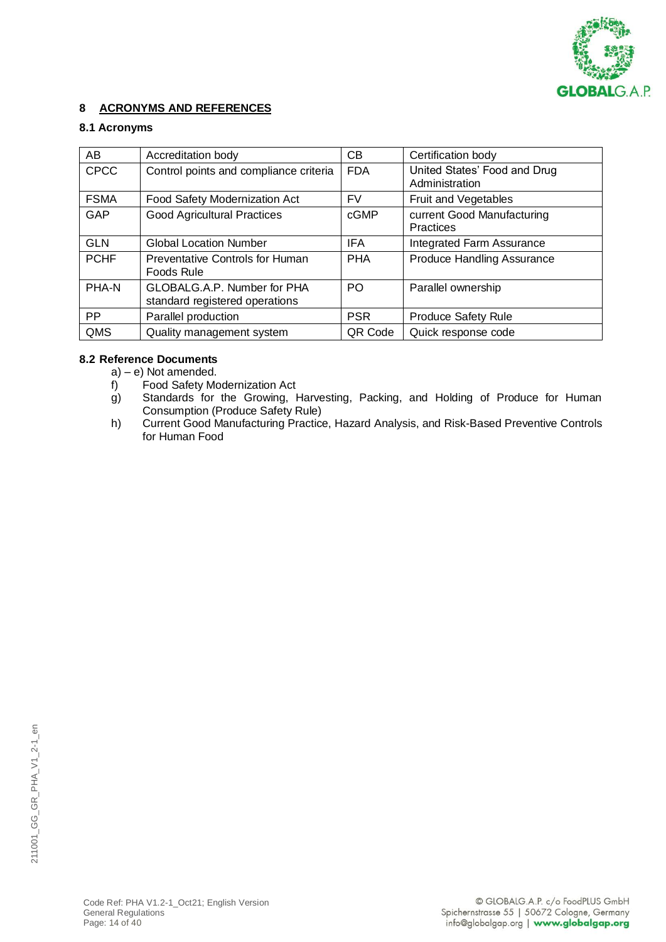

# **8 ACRONYMS AND REFERENCES**

### **8.1 Acronyms**

| AB          | Accreditation body                                            | CВ             | Certification body                             |
|-------------|---------------------------------------------------------------|----------------|------------------------------------------------|
| <b>CPCC</b> | Control points and compliance criteria                        | <b>FDA</b>     | United States' Food and Drug<br>Administration |
| <b>FSMA</b> | Food Safety Modernization Act                                 | FV             | Fruit and Vegetables                           |
| GAP         | <b>Good Agricultural Practices</b>                            | cGMP           | current Good Manufacturing<br>Practices        |
| <b>GLN</b>  | <b>Global Location Number</b>                                 | <b>IFA</b>     | Integrated Farm Assurance                      |
| <b>PCHF</b> | <b>Preventative Controls for Human</b><br>Foods Rule          | <b>PHA</b>     | Produce Handling Assurance                     |
| PHA-N       | GLOBALG.A.P. Number for PHA<br>standard registered operations | P <sub>O</sub> | Parallel ownership                             |
| <b>PP</b>   | Parallel production                                           | <b>PSR</b>     | <b>Produce Safety Rule</b>                     |
| QMS         | Quality management system                                     | QR Code        | Quick response code                            |

### **8.2 Reference Documents**

- a) e) Not amended.
- f) Food Safety Modernization Act
- g) Standards for the Growing, Harvesting, Packing, and Holding of Produce for Human Consumption (Produce Safety Rule)
- h) Current Good Manufacturing Practice, Hazard Analysis, and Risk-Based Preventive Controls for Human Food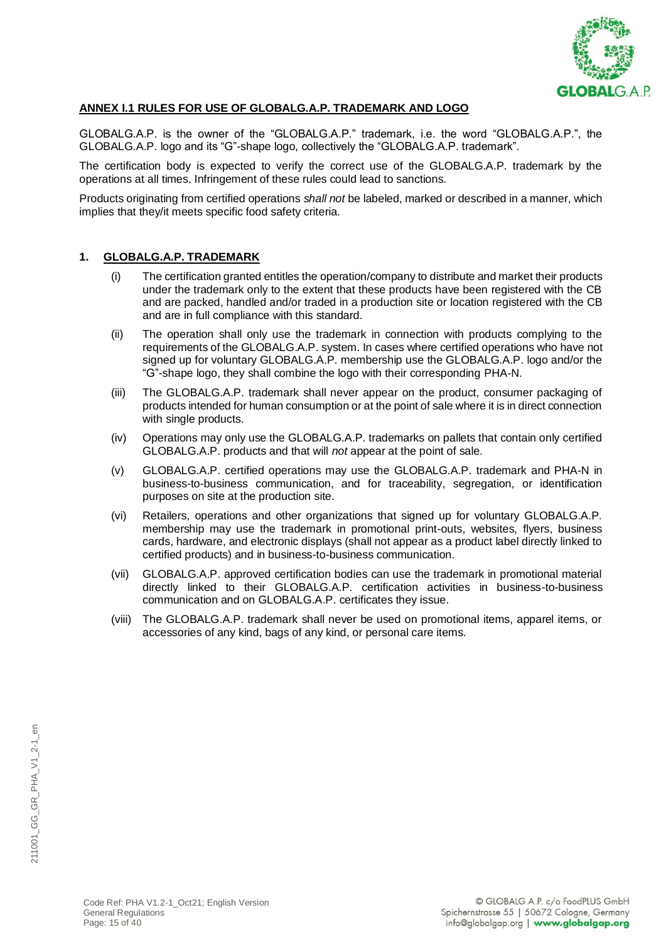

### **ANNEX I.1 RULES FOR USE OF GLOBALG.A.P. TRADEMARK AND LOGO**

GLOBALG.A.P. is the owner of the "GLOBALG.A.P." trademark, i.e. the word "GLOBALG.A.P.", the GLOBALG.A.P. logo and its "G"-shape logo, collectively the "GLOBALG.A.P. trademark".

The certification body is expected to verify the correct use of the GLOBALG.A.P. trademark by the operations at all times. Infringement of these rules could lead to sanctions.

Products originating from certified operations *shall not* be labeled, marked or described in a manner, which implies that they/it meets specific food safety criteria.

### **1. GLOBALG.A.P. TRADEMARK**

- (i) The certification granted entitles the operation/company to distribute and market their products under the trademark only to the extent that these products have been registered with the CB and are packed, handled and/or traded in a production site or location registered with the CB and are in full compliance with this standard.
- (ii) The operation shall only use the trademark in connection with products complying to the requirements of the GLOBALG.A.P. system. In cases where certified operations who have not signed up for voluntary GLOBALG.A.P. membership use the GLOBALG.A.P. logo and/or the "G"-shape logo, they shall combine the logo with their corresponding PHA-N.
- (iii) The GLOBALG.A.P. trademark shall never appear on the product, consumer packaging of products intended for human consumption or at the point of sale where it is in direct connection with single products.
- (iv) Operations may only use the GLOBALG.A.P. trademarks on pallets that contain only certified GLOBALG.A.P. products and that will *not* appear at the point of sale.
- (v) GLOBALG.A.P. certified operations may use the GLOBALG.A.P. trademark and PHA-N in business-to-business communication, and for traceability, segregation, or identification purposes on site at the production site.
- (vi) Retailers, operations and other organizations that signed up for voluntary GLOBALG.A.P. membership may use the trademark in promotional print-outs, websites, flyers, business cards, hardware, and electronic displays (shall not appear as a product label directly linked to certified products) and in business-to-business communication.
- (vii) GLOBALG.A.P. approved certification bodies can use the trademark in promotional material directly linked to their GLOBALG.A.P. certification activities in business-to-business communication and on GLOBALG.A.P. certificates they issue.
- (viii) The GLOBALG.A.P. trademark shall never be used on promotional items, apparel items, or accessories of any kind, bags of any kind, or personal care items.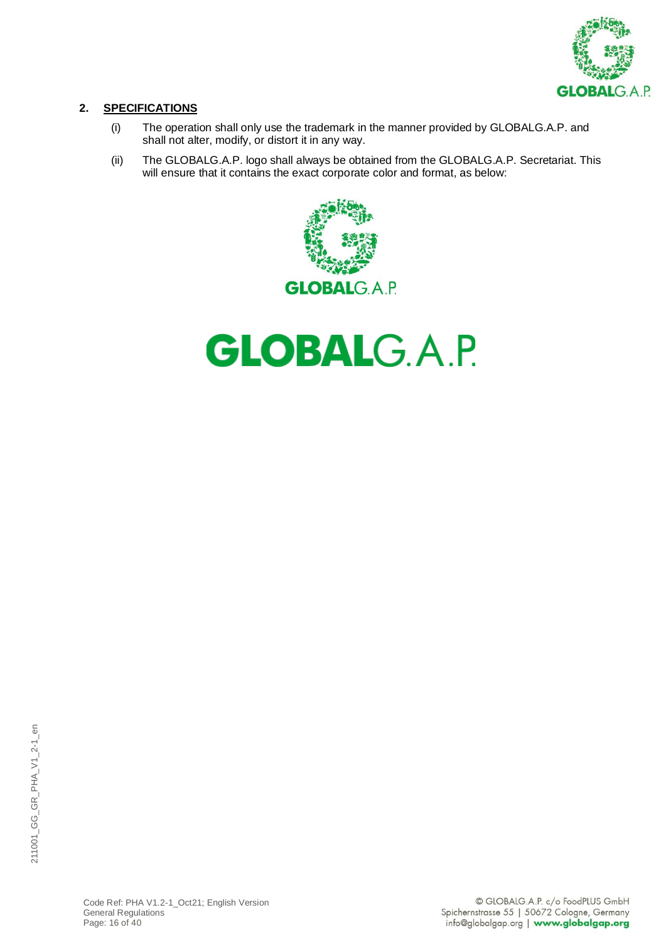

# **2. SPECIFICATIONS**

- (i) The operation shall only use the trademark in the manner provided by GLOBALG.A.P. and shall not alter, modify, or distort it in any way.
- (ii) The GLOBALG.A.P. logo shall always be obtained from the GLOBALG.A.P. Secretariat. This will ensure that it contains the exact corporate color and format, as below:



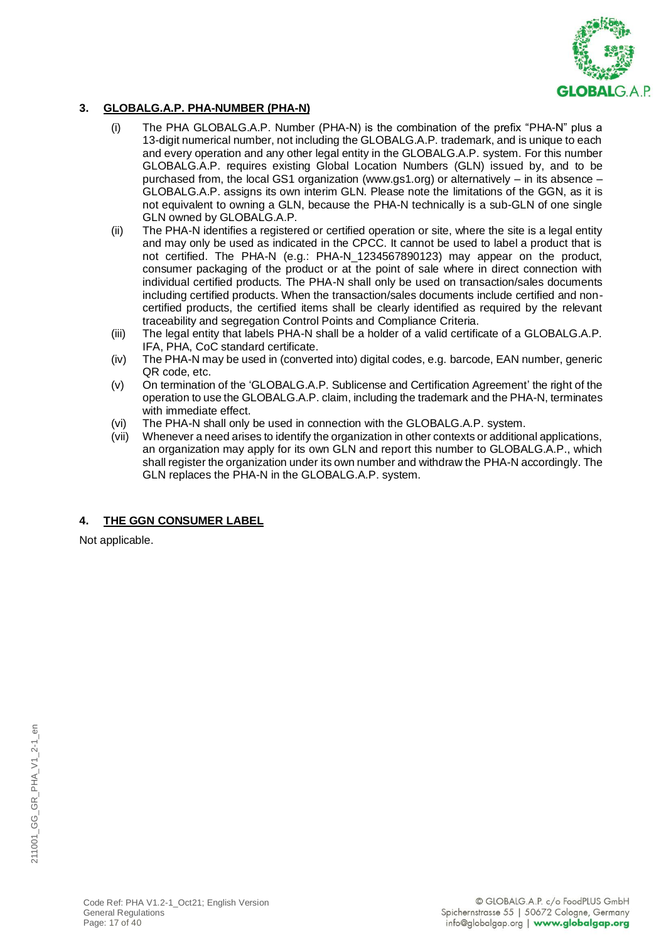

# **3. GLOBALG.A.P. PHA-NUMBER (PHA-N)**

- (i) The PHA GLOBALG.A.P. Number (PHA-N) is the combination of the prefix "PHA-N" plus a 13-digit numerical number, not including the GLOBALG.A.P. trademark, and is unique to each and every operation and any other legal entity in the GLOBALG.A.P. system. For this number GLOBALG.A.P. requires existing Global Location Numbers (GLN) issued by, and to be purchased from, the local GS1 organization (www.gs1.org) or alternatively – in its absence – GLOBALG.A.P. assigns its own interim GLN. Please note the limitations of the GGN, as it is not equivalent to owning a GLN, because the PHA-N technically is a sub-GLN of one single GLN owned by GLOBALG.A.P.
- (ii) The PHA-N identifies a registered or certified operation or site, where the site is a legal entity and may only be used as indicated in the CPCC. It cannot be used to label a product that is not certified. The PHA-N (e.g.: PHA-N\_1234567890123) may appear on the product, consumer packaging of the product or at the point of sale where in direct connection with individual certified products. The PHA-N shall only be used on transaction/sales documents including certified products. When the transaction/sales documents include certified and noncertified products, the certified items shall be clearly identified as required by the relevant traceability and segregation Control Points and Compliance Criteria.
- (iii) The legal entity that labels PHA-N shall be a holder of a valid certificate of a GLOBALG.A.P. IFA, PHA, CoC standard certificate.
- (iv) The PHA-N may be used in (converted into) digital codes, e.g. barcode, EAN number, generic QR code, etc.
- (v) On termination of the 'GLOBALG.A.P. Sublicense and Certification Agreement' the right of the operation to use the GLOBALG.A.P. claim, including the trademark and the PHA-N, terminates with immediate effect.
- (vi) The PHA-N shall only be used in connection with the GLOBALG.A.P. system.
- (vii) Whenever a need arises to identify the organization in other contexts or additional applications, an organization may apply for its own GLN and report this number to GLOBALG.A.P., which shall register the organization under its own number and withdraw the PHA-N accordingly. The GLN replaces the PHA-N in the GLOBALG.A.P. system.

# **4. THE GGN CONSUMER LABEL**

Not applicable.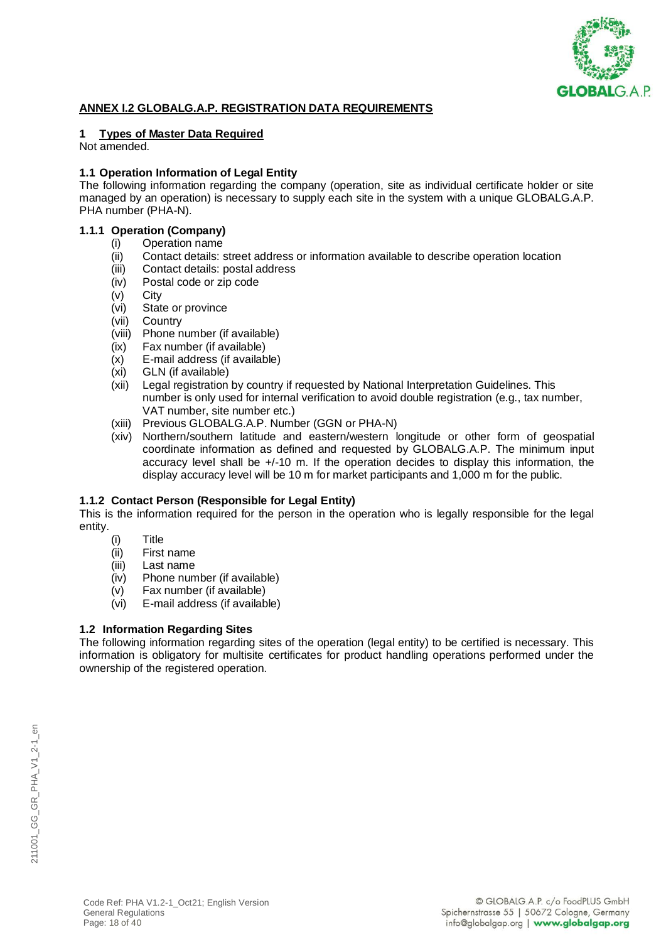

### **ANNEX I.2 GLOBALG.A.P. REGISTRATION DATA REQUIREMENTS**

### **1 Types of Master Data Required**

Not amended.

### **1.1 Operation Information of Legal Entity**

The following information regarding the company (operation, site as individual certificate holder or site managed by an operation) is necessary to supply each site in the system with a unique GLOBALG.A.P. PHA number (PHA-N).

# **1.1.1 Operation (Company)**

- (i) Operation name<br>(ii) Contact details: s
	- Contact details: street address or information available to describe operation location
	- (iii) Contact details: postal address
	- (iv) Postal code or zip code
	- (v) City
	- (vi) State or province
	- (vii) Country
	- (viii) Phone number (if available)
	- (ix) Fax number (if available)
	- (x) E-mail address (if available)
	- (xi) GLN (if available)
	- (xii) Legal registration by country if requested by National Interpretation Guidelines. This number is only used for internal verification to avoid double registration (e.g., tax number, VAT number, site number etc.)
	- (xiii) Previous GLOBALG.A.P. Number (GGN or PHA-N)
	- (xiv) Northern/southern latitude and eastern/western longitude or other form of geospatial coordinate information as defined and requested by GLOBALG.A.P. The minimum input accuracy level shall be +/-10 m. If the operation decides to display this information, the display accuracy level will be 10 m for market participants and 1,000 m for the public.

#### **1.1.2 Contact Person (Responsible for Legal Entity)**

This is the information required for the person in the operation who is legally responsible for the legal entity.

- (i) Title
- (ii) First name
- (iii) Last name
- (iv) Phone number (if available)
- (v) Fax number (if available)
- (vi) E-mail address (if available)

### **1.2 Information Regarding Sites**

The following information regarding sites of the operation (legal entity) to be certified is necessary. This information is obligatory for multisite certificates for product handling operations performed under the ownership of the registered operation.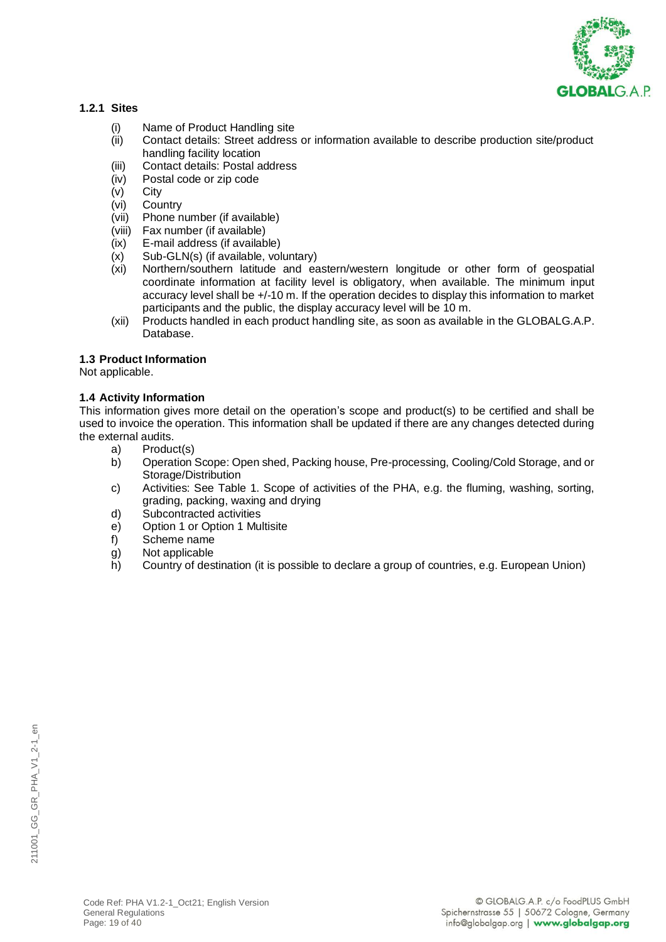

### **1.2.1 Sites**

- (i) Name of Product Handling site
- (ii) Contact details: Street address or information available to describe production site/product handling facility location
- (iii) Contact details: Postal address<br>(iv) Postal code or zip code
- (iv) Postal code or zip code
- **City**
- (vi) Country<br>(vii) Phone n
- Phone number (if available)
- (viii) Fax number (if available)
- (ix) E-mail address (if available)
- (x) Sub-GLN(s) (if available, voluntary)
- (xi) Northern/southern latitude and eastern/western longitude or other form of geospatial coordinate information at facility level is obligatory, when available. The minimum input accuracy level shall be +/-10 m. If the operation decides to display this information to market participants and the public, the display accuracy level will be 10 m.
- (xii) Products handled in each product handling site, as soon as available in the GLOBALG.A.P. Database.

### **1.3 Product Information**

Not applicable.

### **1.4 Activity Information**

This information gives more detail on the operation's scope and product(s) to be certified and shall be used to invoice the operation. This information shall be updated if there are any changes detected during the external audits.

- a) Product(s)
- b) Operation Scope: Open shed, Packing house, Pre-processing, Cooling/Cold Storage, and or Storage/Distribution
- c) Activities: See Table 1. Scope of activities of the PHA, e.g. the fluming, washing, sorting, grading, packing, waxing and drying
- d) Subcontracted activities
- e) Option 1 or Option 1 Multisite
- f) Scheme name
- g) Not applicable
- h) Country of destination (it is possible to declare a group of countries, e.g. European Union)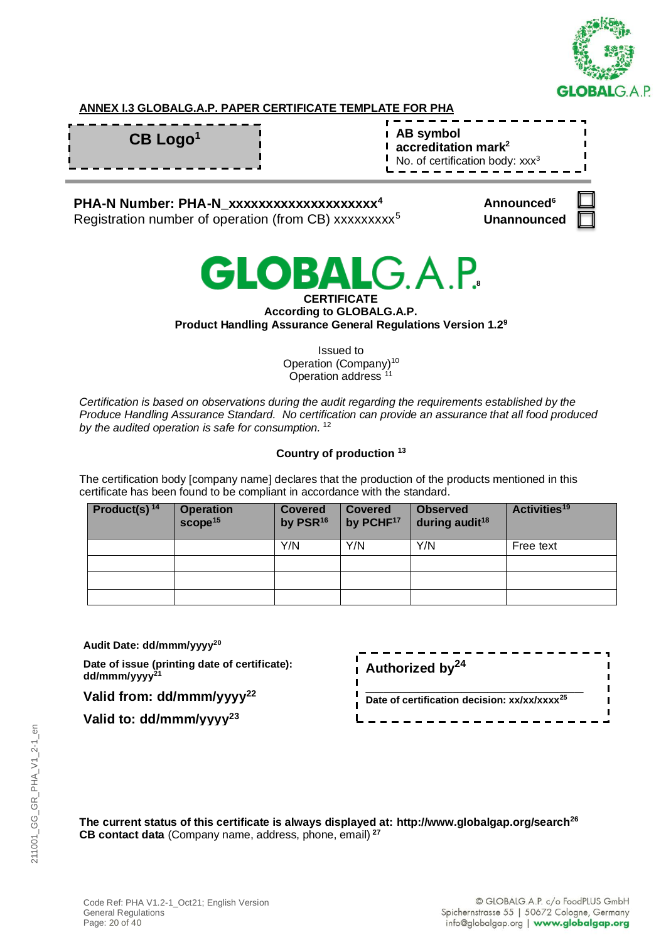

# **ANNEX I.3 GLOBALG.A.P. PAPER CERTIFICATE TEMPLATE FOR PHA**

| $\mathsf{CB}$ Logo <sup>1</sup> | $\frac{1}{1}$ AB symbol<br>$\frac{1}{1}$ accreditation mark <sup>2</sup><br>No. of certification body: $xxx^3$ |
|---------------------------------|----------------------------------------------------------------------------------------------------------------|
|                                 |                                                                                                                |

# **PHA-N Number: PHA-N\_xxxxxxxxxxxxxxxxxxxx<sup>4</sup>**

Registration number of operation (from CB) xxxxxxxxx<sup>5</sup>

| <b>Announced</b> <sup>6</sup> |  |
|-------------------------------|--|
| <b>Unannounced</b>            |  |



#### **CERTIFICATE According to GLOBALG.A.P. Product Handling Assurance General Regulations Version 1.2<sup>9</sup>**

Issued to Operation (Company)<sup>10</sup> Operation address <sup>11</sup>

*Certification is based on observations during the audit regarding the requirements established by the Produce Handling Assurance Standard. No certification can provide an assurance that all food produced by the audited operation is safe for consumption.* <sup>12</sup>

# **Country of production <sup>13</sup>**

The certification body [company name] declares that the production of the products mentioned in this certificate has been found to be compliant in accordance with the standard.

| <b>Product(s)</b> <sup>14</sup> | <b>Operation</b><br>score <sup>15</sup> | <b>Covered</b><br>by PSR <sup>16</sup> | <b>Covered</b><br>by PCHF <sup>17</sup> | <b>Observed</b><br>during audit <sup>18</sup> | Activities <sup>19</sup> |
|---------------------------------|-----------------------------------------|----------------------------------------|-----------------------------------------|-----------------------------------------------|--------------------------|
|                                 |                                         | Y/N                                    | Y/N                                     | Y/N                                           | Free text                |
|                                 |                                         |                                        |                                         |                                               |                          |
|                                 |                                         |                                        |                                         |                                               |                          |
|                                 |                                         |                                        |                                         |                                               |                          |

**Audit Date: dd/mmm/yyyy<sup>20</sup>**

**Date of issue (printing date of certificate): dd/mmm/yyyy<sup>21</sup>**

**Valid from: dd/mmm/yyyy<sup>22</sup>**

**Valid to: dd/mmm/yyyy<sup>23</sup>**

| $\mu$ Authorized by <sup>24</sup>                        |  |
|----------------------------------------------------------|--|
| Date of certification decision: xx/xx/xxxx <sup>25</sup> |  |

**The current status of this certificate is always displayed at: http://www.globalgap.org/search<sup>26</sup> CB contact data** (Company name, address, phone, email) **<sup>27</sup>**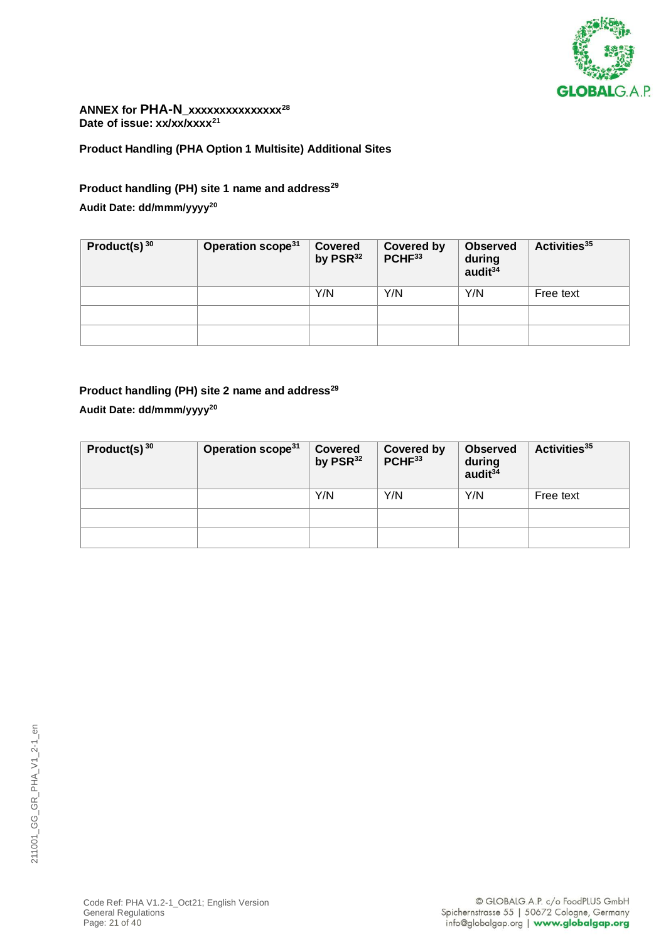

### **ANNEX for PHA-N\_xxxxxxxxxxxxxxx<sup>28</sup> Date of issue: xx/xx/xxxx<sup>21</sup>**

**Product Handling (PHA Option 1 Multisite) Additional Sites**

# **Product handling (PH) site 1 name and address<sup>29</sup>**

# **Audit Date: dd/mmm/yyyy<sup>20</sup>**

| Product(s) $3030$ | Operation scope <sup>31</sup> | <b>Covered</b><br>by $PSR32$ | <b>Covered by</b><br>PCHF33 | <b>Observed</b><br>during<br>audit $34$ | Activities <sup>35</sup> |
|-------------------|-------------------------------|------------------------------|-----------------------------|-----------------------------------------|--------------------------|
|                   |                               | Y/N                          | Y/N                         | Y/N                                     | Free text                |
|                   |                               |                              |                             |                                         |                          |
|                   |                               |                              |                             |                                         |                          |

# **Product handling (PH) site 2 name and address<sup>29</sup>**

# **Audit Date: dd/mmm/yyyy<sup>20</sup>**

| Product(s) $3030$ | Operation scope <sup>31</sup> | <b>Covered</b><br>by $PSR^{32}$ | <b>Covered by</b><br>PCHF <sup>33</sup> | <b>Observed</b><br>during<br>audit $3\overline{4}$ | Activities <sup>35</sup> |
|-------------------|-------------------------------|---------------------------------|-----------------------------------------|----------------------------------------------------|--------------------------|
|                   |                               | Y/N                             | Y/N                                     | Y/N                                                | Free text                |
|                   |                               |                                 |                                         |                                                    |                          |
|                   |                               |                                 |                                         |                                                    |                          |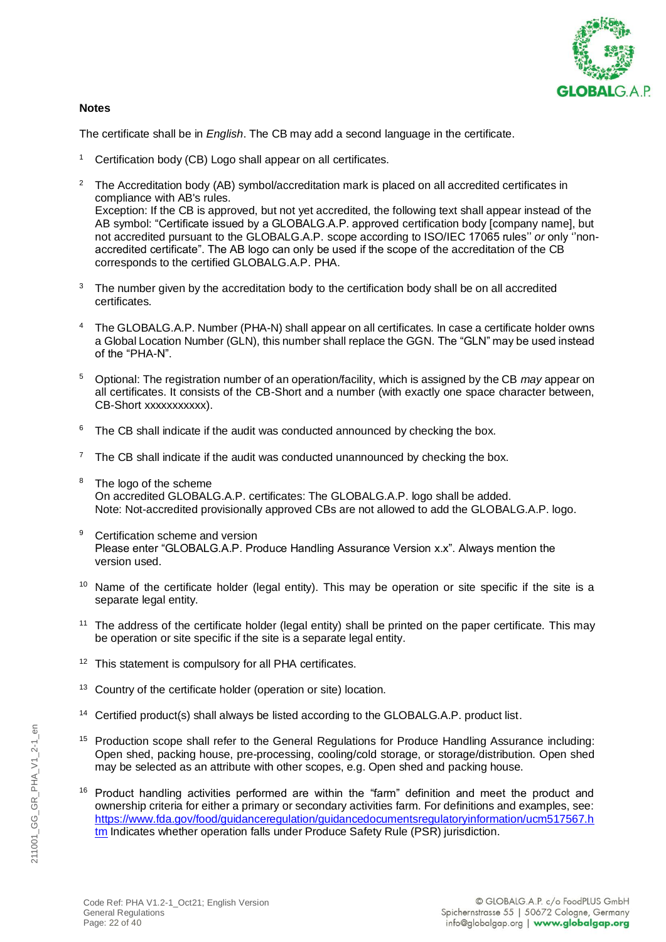

### **Notes**

The certificate shall be in *English*. The CB may add a second language in the certificate.

- <sup>1</sup> Certification body (CB) Logo shall appear on all certificates.
- <sup>2</sup> The Accreditation body (AB) symbol/accreditation mark is placed on all accredited certificates in compliance with AB's rules. Exception: If the CB is approved, but not yet accredited, the following text shall appear instead of the AB symbol: "Certificate issued by a GLOBALG.A.P. approved certification body [company name], but not accredited pursuant to the GLOBALG.A.P. scope according to ISO/IEC 17065 rules'' *or* only ''nonaccredited certificate". The AB logo can only be used if the scope of the accreditation of the CB corresponds to the certified GLOBALG.A.P. PHA.
- The number given by the accreditation body to the certification body shall be on all accredited certificates.
- The GLOBALG.A.P. Number (PHA-N) shall appear on all certificates. In case a certificate holder owns a Global Location Number (GLN), this number shall replace the GGN. The "GLN" may be used instead of the "PHA-N".
- <sup>5</sup> Optional: The registration number of an operation/facility, which is assigned by the CB *may* appear on all certificates. It consists of the CB-Short and a number (with exactly one space character between, CB-Short xxxxxxxxxxx).
- $6$  The CB shall indicate if the audit was conducted announced by checking the box.
- The CB shall indicate if the audit was conducted unannounced by checking the box.
- <sup>8</sup> The logo of the scheme On accredited GLOBALG.A.P. certificates: The GLOBALG.A.P. logo shall be added. Note: Not-accredited provisionally approved CBs are not allowed to add the GLOBALG.A.P. logo.
- <sup>9</sup> Certification scheme and version Please enter "GLOBALG.A.P. Produce Handling Assurance Version x.x". Always mention the version used.
- <sup>10</sup> Name of the certificate holder (legal entity). This may be operation or site specific if the site is a separate legal entity.
- <sup>11</sup> The address of the certificate holder (legal entity) shall be printed on the paper certificate. This may be operation or site specific if the site is a separate legal entity.
- <sup>12</sup> This statement is compulsory for all PHA certificates.
- <sup>13</sup> Country of the certificate holder (operation or site) location.
- <sup>14</sup> Certified product(s) shall always be listed according to the GLOBALG.A.P. product list.
- <sup>15</sup> Production scope shall refer to the General Regulations for Produce Handling Assurance including: Open shed, packing house, pre-processing, cooling/cold storage, or storage/distribution. Open shed may be selected as an attribute with other scopes, e.g. Open shed and packing house.
- <sup>16</sup> Product handling activities performed are within the "farm" definition and meet the product and ownership criteria for either a primary or secondary activities farm. For definitions and examples, see: [https://www.fda.gov/food/guidanceregulation/guidancedocumentsregulatoryinformation/ucm517567.h](https://www.fda.gov/food/guidanceregulation/guidancedocumentsregulatoryinformation/ucm517567.htm) [tm](https://www.fda.gov/food/guidanceregulation/guidancedocumentsregulatoryinformation/ucm517567.htm) Indicates whether operation falls under Produce Safety Rule (PSR) jurisdiction.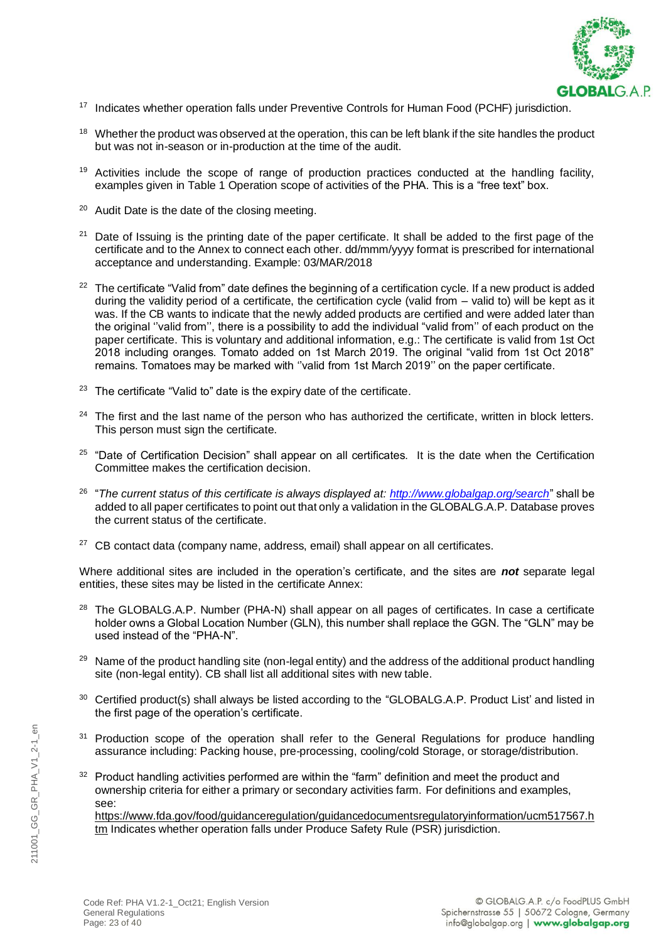

- <sup>17</sup> Indicates whether operation falls under Preventive Controls for Human Food (PCHF) jurisdiction.
- <sup>18</sup> Whether the product was observed at the operation, this can be left blank if the site handles the product but was not in-season or in-production at the time of the audit.
- $19$  Activities include the scope of range of production practices conducted at the handling facility, examples given in Table 1 Operation scope of activities of the PHA. This is a "free text" box.
- <sup>20</sup> Audit Date is the date of the closing meeting.
- <sup>21</sup> Date of Issuing is the printing date of the paper certificate. It shall be added to the first page of the certificate and to the Annex to connect each other. dd/mmm/yyyy format is prescribed for international acceptance and understanding. Example: 03/MAR/2018
- <sup>22</sup> The certificate "Valid from" date defines the beginning of a certification cycle. If a new product is added during the validity period of a certificate, the certification cycle (valid from – valid to) will be kept as it was. If the CB wants to indicate that the newly added products are certified and were added later than the original ''valid from'', there is a possibility to add the individual "valid from'' of each product on the paper certificate. This is voluntary and additional information, e.g.: The certificate is valid from 1st Oct 2018 including oranges. Tomato added on 1st March 2019. The original "valid from 1st Oct 2018" remains. Tomatoes may be marked with ''valid from 1st March 2019'' on the paper certificate.
- <sup>23</sup> The certificate "Valid to" date is the expiry date of the certificate.
- <sup>24</sup> The first and the last name of the person who has authorized the certificate, written in block letters. This person must sign the certificate.
- <sup>25</sup> "Date of Certification Decision" shall appear on all certificates. It is the date when the Certification Committee makes the certification decision.
- 26 "*The current status of this certificate is always displayed at:<http://www.globalgap.org/search>*" shall be added to all paper certificates to point out that only a validation in the GLOBALG.A.P. Database proves the current status of the certificate.
- <sup>27</sup> CB contact data (company name, address, email) shall appear on all certificates.

Where additional sites are included in the operation's certificate, and the sites are *not* separate legal entities, these sites may be listed in the certificate Annex:

- <sup>28</sup> The GLOBALG.A.P. Number (PHA-N) shall appear on all pages of certificates. In case a certificate holder owns a Global Location Number (GLN), this number shall replace the GGN. The "GLN" may be used instead of the "PHA-N".
- <sup>29</sup> Name of the product handling site (non-legal entity) and the address of the additional product handling site (non-legal entity). CB shall list all additional sites with new table.
- <sup>30</sup> Certified product(s) shall always be listed according to the "GLOBALG.A.P. Product List' and listed in the first page of the operation's certificate.
- <sup>31</sup> Production scope of the operation shall refer to the General Regulations for produce handling assurance including: Packing house, pre-processing, cooling/cold Storage, or storage/distribution.
- <sup>32</sup> Product handling activities performed are within the "farm" definition and meet the product and ownership criteria for either a primary or secondary activities farm. For definitions and examples, see:

[https://www.fda.gov/food/guidanceregulation/guidancedocumentsregulatoryinformation/ucm517567.h](https://www.fda.gov/food/guidanceregulation/guidancedocumentsregulatoryinformation/ucm517567.htm) [tm](https://www.fda.gov/food/guidanceregulation/guidancedocumentsregulatoryinformation/ucm517567.htm) Indicates whether operation falls under Produce Safety Rule (PSR) jurisdiction.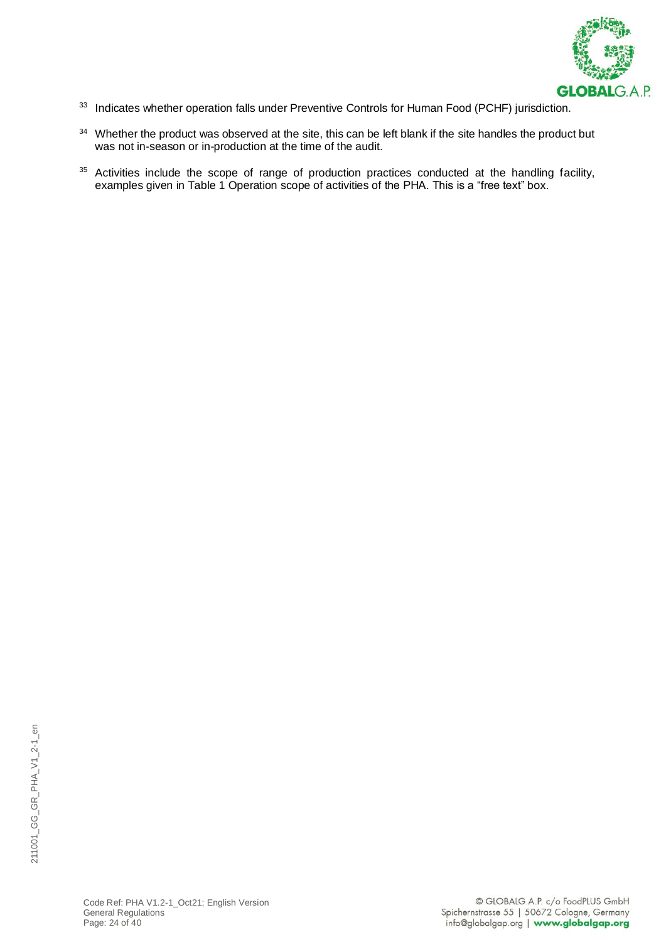

- 33 Indicates whether operation falls under Preventive Controls for Human Food (PCHF) jurisdiction.
- <sup>34</sup> Whether the product was observed at the site, this can be left blank if the site handles the product but was not in-season or in-production at the time of the audit.
- <sup>35</sup> Activities include the scope of range of production practices conducted at the handling facility, examples given in Table 1 Operation scope of activities of the PHA. This is a "free text" box.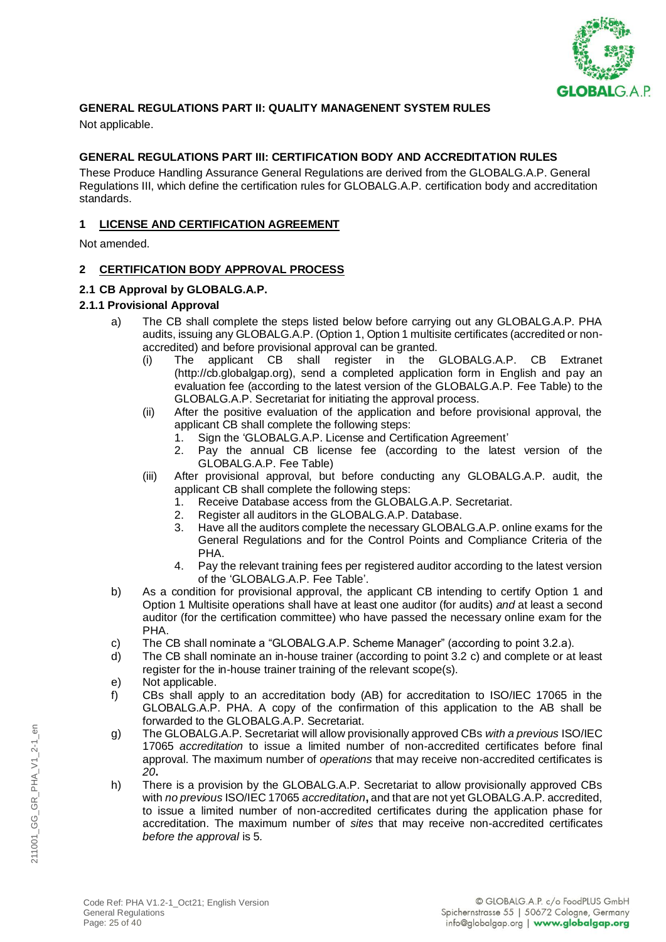

# **GENERAL REGULATIONS PART II: QUALITY MANAGENENT SYSTEM RULES**

Not applicable.

### **GENERAL REGULATIONS PART III: CERTIFICATION BODY AND ACCREDITATION RULES**

These Produce Handling Assurance General Regulations are derived from the GLOBALG.A.P. General Regulations III, which define the certification rules for GLOBALG.A.P. certification body and accreditation standards.

### **1 LICENSE AND CERTIFICATION AGREEMENT**

Not amended.

### **2 CERTIFICATION BODY APPROVAL PROCESS**

### **2.1 CB Approval by GLOBALG.A.P.**

### **2.1.1 Provisional Approval**

- a) The CB shall complete the steps listed below before carrying out any GLOBALG.A.P. PHA audits, issuing any GLOBALG.A.P. (Option 1, Option 1 multisite certificates (accredited or nonaccredited) and before provisional approval can be granted.
	- (i) The applicant CB shall register in the GLOBALG.A.P. CB Extranet (http://cb.globalgap.org), send a completed application form in English and pay an evaluation fee (according to the latest version of the GLOBALG.A.P. Fee Table) to the GLOBALG.A.P. Secretariat for initiating the approval process.
	- (ii) After the positive evaluation of the application and before provisional approval, the applicant CB shall complete the following steps:
		- 1. Sign the 'GLOBALG.A.P. License and Certification Agreement'
		- 2. Pay the annual CB license fee (according to the latest version of the GLOBALG.A.P. Fee Table)
	- (iii) After provisional approval, but before conducting any GLOBALG.A.P. audit, the applicant CB shall complete the following steps:
		- 1. Receive Database access from the GLOBALG.A.P. Secretariat.
		- 2. Register all auditors in the GLOBALG.A.P. Database.
		- Have all the auditors complete the necessary GLOBALG.A.P. online exams for the General Regulations and for the Control Points and Compliance Criteria of the PHA.
		- 4. Pay the relevant training fees per registered auditor according to the latest version of the 'GLOBALG.A.P. Fee Table'.
- b) As a condition for provisional approval, the applicant CB intending to certify Option 1 and Option 1 Multisite operations shall have at least one auditor (for audits) *and* at least a second auditor (for the certification committee) who have passed the necessary online exam for the PHA.
- c) The CB shall nominate a "GLOBALG.A.P. Scheme Manager" (according to point 3.2.a).
- d) The CB shall nominate an in-house trainer (according to point 3.2 c) and complete or at least register for the in-house trainer training of the relevant scope(s).
- e) Not applicable.
- f) CBs shall apply to an accreditation body (AB) for accreditation to ISO/IEC 17065 in the GLOBALG.A.P. PHA. A copy of the confirmation of this application to the AB shall be forwarded to the GLOBALG.A.P. Secretariat.
- g) The GLOBALG.A.P. Secretariat will allow provisionally approved CBs *with a previous* ISO/IEC 17065 *accreditation* to issue a limited number of non-accredited certificates before final approval. The maximum number of *operations* that may receive non-accredited certificates is *20***.**
- h) There is a provision by the GLOBALG.A.P. Secretariat to allow provisionally approved CBs with *no previous* ISO/IEC 17065 *accreditation***,** and that are not yet GLOBALG.A.P. accredited, to issue a limited number of non-accredited certificates during the application phase for accreditation. The maximum number of *sites* that may receive non-accredited certificates *before the approval* is 5*.*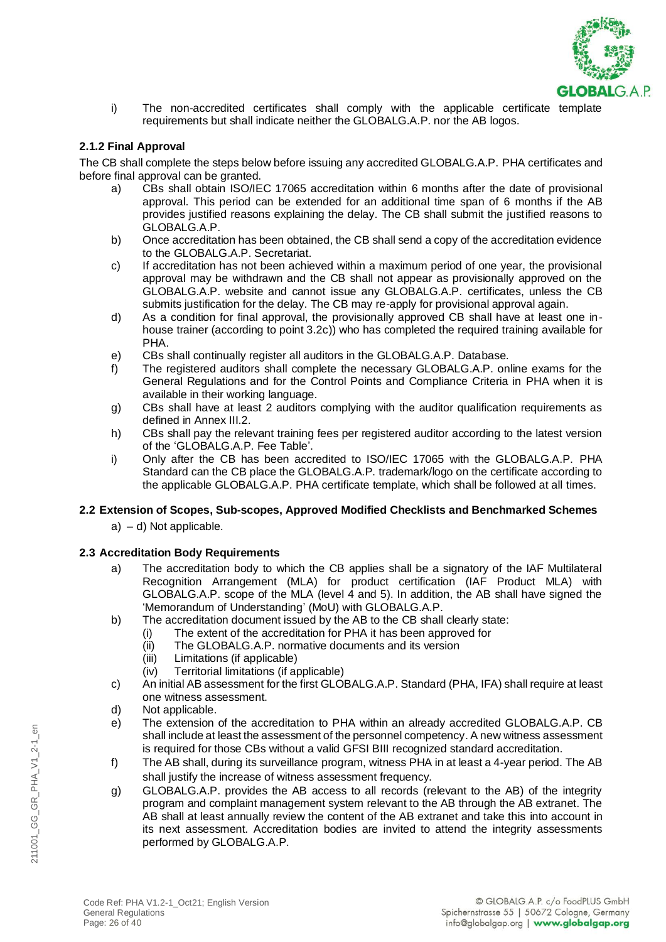

i) The non-accredited certificates shall comply with the applicable certificate template requirements but shall indicate neither the GLOBALG.A.P. nor the AB logos.

### **2.1.2 Final Approval**

The CB shall complete the steps below before issuing any accredited GLOBALG.A.P. PHA certificates and before final approval can be granted.

- a) CBs shall obtain ISO/IEC 17065 accreditation within 6 months after the date of provisional approval. This period can be extended for an additional time span of 6 months if the AB provides justified reasons explaining the delay. The CB shall submit the justified reasons to GLOBALG.A.P.
- b) Once accreditation has been obtained, the CB shall send a copy of the accreditation evidence to the GLOBALG.A.P. Secretariat.
- c) If accreditation has not been achieved within a maximum period of one year, the provisional approval may be withdrawn and the CB shall not appear as provisionally approved on the GLOBALG.A.P. website and cannot issue any GLOBALG.A.P. certificates, unless the CB submits justification for the delay. The CB may re-apply for provisional approval again.
- d) As a condition for final approval, the provisionally approved CB shall have at least one inhouse trainer (according to point 3.2c)) who has completed the required training available for PHA.
- e) CBs shall continually register all auditors in the GLOBALG.A.P. Database.
- f) The registered auditors shall complete the necessary GLOBALG.A.P. online exams for the General Regulations and for the Control Points and Compliance Criteria in PHA when it is available in their working language.
- g) CBs shall have at least 2 auditors complying with the auditor qualification requirements as defined in Annex III.2.
- h) CBs shall pay the relevant training fees per registered auditor according to the latest version of the 'GLOBALG.A.P. Fee Table'.
- i) Only after the CB has been accredited to ISO/IEC 17065 with the GLOBALG.A.P. PHA Standard can the CB place the GLOBALG.A.P. trademark/logo on the certificate according to the applicable GLOBALG.A.P. PHA certificate template, which shall be followed at all times.

# **2.2 Extension of Scopes, Sub-scopes, Approved Modified Checklists and Benchmarked Schemes**

a) – d) Not applicable.

# **2.3 Accreditation Body Requirements**

- a) The accreditation body to which the CB applies shall be a signatory of the IAF Multilateral Recognition Arrangement (MLA) for product certification (IAF Product MLA) with GLOBALG.A.P. scope of the MLA (level 4 and 5). In addition, the AB shall have signed the 'Memorandum of Understanding' (MoU) with GLOBALG.A.P.
- b) The accreditation document issued by the AB to the CB shall clearly state:
	- (i) The extent of the accreditation for PHA it has been approved for<br>(ii) The GLOBALG.A.P. normative documents and its version
	- The GLOBALG.A.P. normative documents and its version
	- (iii) Limitations (if applicable)
	- (iv) Territorial limitations (if applicable)
- c) An initial AB assessment for the first GLOBALG.A.P. Standard (PHA, IFA) shall require at least one witness assessment.
- d) Not applicable.
- e) The extension of the accreditation to PHA within an already accredited GLOBALG.A.P. CB shall include at least the assessment of the personnel competency. A new witness assessment is required for those CBs without a valid GFSI BIII recognized standard accreditation.
- f) The AB shall, during its surveillance program, witness PHA in at least a 4-year period. The AB shall justify the increase of witness assessment frequency.
- g) GLOBALG.A.P. provides the AB access to all records (relevant to the AB) of the integrity program and complaint management system relevant to the AB through the AB extranet. The AB shall at least annually review the content of the AB extranet and take this into account in its next assessment. Accreditation bodies are invited to attend the integrity assessments performed by GLOBALG.A.P.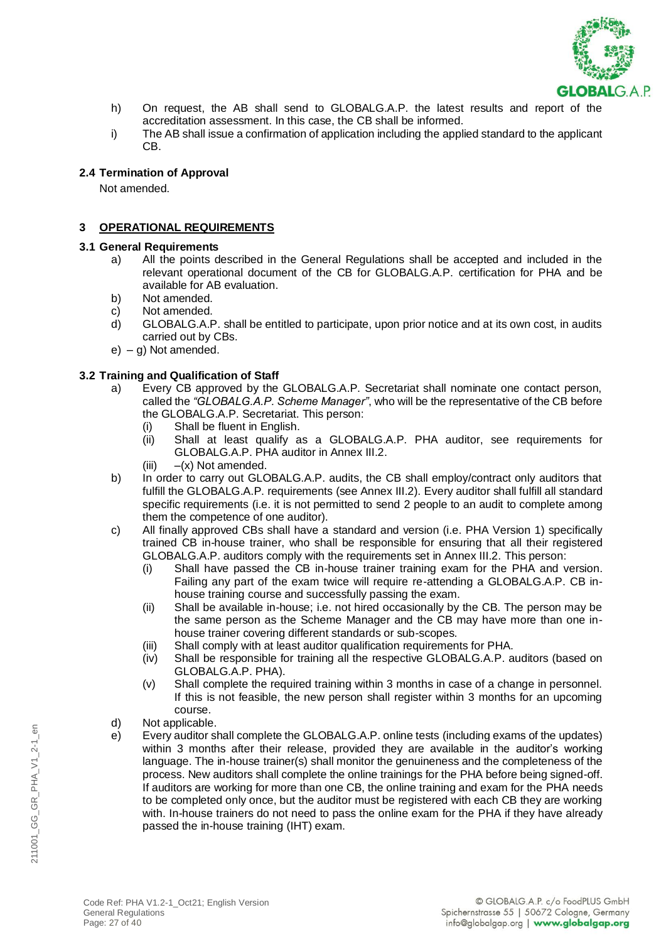

- h) On request, the AB shall send to GLOBALG.A.P. the latest results and report of the accreditation assessment. In this case, the CB shall be informed.
- i) The AB shall issue a confirmation of application including the applied standard to the applicant CB.

### **2.4 Termination of Approval**

Not amended.

### **3 OPERATIONAL REQUIREMENTS**

#### **3.1 General Requirements**

- a) All the points described in the General Regulations shall be accepted and included in the relevant operational document of the CB for GLOBALG.A.P. certification for PHA and be available for AB evaluation.
- b) Not amended.
- c) Not amended.
- d) GLOBALG.A.P. shall be entitled to participate, upon prior notice and at its own cost, in audits carried out by CBs.
- $e) g$ ) Not amended.

### **3.2 Training and Qualification of Staff**

- a) Every CB approved by the GLOBALG.A.P. Secretariat shall nominate one contact person, called the *"GLOBALG.A.P. Scheme Manager"*, who will be the representative of the CB before the GLOBALG.A.P. Secretariat. This person:
	- (i) Shall be fluent in English.
	- (ii) Shall at least qualify as a GLOBALG.A.P. PHA auditor, see requirements for GLOBALG.A.P. PHA auditor in Annex III.2.
	- (iii)  $-(x)$  Not amended.
- b) In order to carry out GLOBALG.A.P. audits, the CB shall employ/contract only auditors that fulfill the GLOBALG.A.P. requirements (see Annex III.2). Every auditor shall fulfill all standard specific requirements (i.e. it is not permitted to send 2 people to an audit to complete among them the competence of one auditor).
- c) All finally approved CBs shall have a standard and version (i.e. PHA Version 1) specifically trained CB in-house trainer, who shall be responsible for ensuring that all their registered GLOBALG.A.P. auditors comply with the requirements set in Annex III.2. This person:
	- (i) Shall have passed the CB in-house trainer training exam for the PHA and version. Failing any part of the exam twice will require re-attending a GLOBALG.A.P. CB inhouse training course and successfully passing the exam.
	- (ii) Shall be available in-house; i.e. not hired occasionally by the CB. The person may be the same person as the Scheme Manager and the CB may have more than one inhouse trainer covering different standards or sub-scopes.
	- (iii) Shall comply with at least auditor qualification requirements for PHA.
	- (iv) Shall be responsible for training all the respective GLOBALG.A.P. auditors (based on GLOBALG.A.P. PHA).
	- (v) Shall complete the required training within 3 months in case of a change in personnel. If this is not feasible, the new person shall register within 3 months for an upcoming course.
- d) Not applicable.
- e) Every auditor shall complete the GLOBALG.A.P. online tests (including exams of the updates) within 3 months after their release, provided they are available in the auditor's working language. The in-house trainer(s) shall monitor the genuineness and the completeness of the process. New auditors shall complete the online trainings for the PHA before being signed-off. If auditors are working for more than one CB, the online training and exam for the PHA needs to be completed only once, but the auditor must be registered with each CB they are working with. In-house trainers do not need to pass the online exam for the PHA if they have already passed the in-house training (IHT) exam.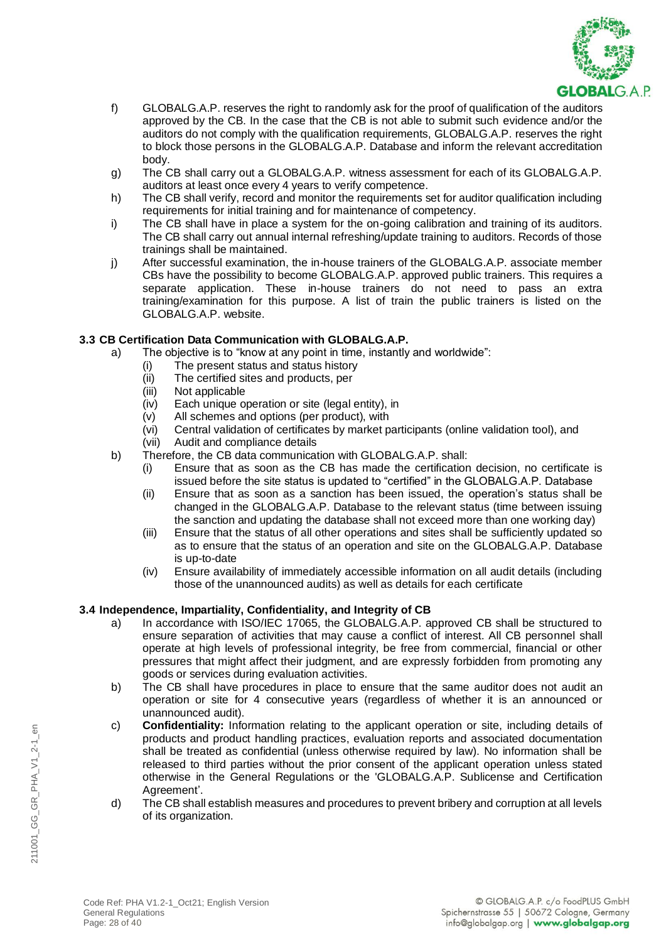

- f) GLOBALG.A.P. reserves the right to randomly ask for the proof of qualification of the auditors approved by the CB. In the case that the CB is not able to submit such evidence and/or the auditors do not comply with the qualification requirements, GLOBALG.A.P. reserves the right to block those persons in the GLOBALG.A.P. Database and inform the relevant accreditation body.
- g) The CB shall carry out a GLOBALG.A.P. witness assessment for each of its GLOBALG.A.P. auditors at least once every 4 years to verify competence.
- h) The CB shall verify, record and monitor the requirements set for auditor qualification including requirements for initial training and for maintenance of competency.
- i) The CB shall have in place a system for the on-going calibration and training of its auditors. The CB shall carry out annual internal refreshing/update training to auditors. Records of those trainings shall be maintained.
- j) After successful examination, the in-house trainers of the GLOBALG.A.P. associate member CBs have the possibility to become GLOBALG.A.P. approved public trainers. This requires a separate application. These in-house trainers do not need to pass an extra training/examination for this purpose. A list of train the public trainers is listed on the GLOBALG.A.P. website.

### **3.3 CB Certification Data Communication with GLOBALG.A.P.**

- a) The objective is to "know at any point in time, instantly and worldwide":
	- (i) The present status and status history
	- (ii) The certified sites and products, per
	- (iii) Not applicable
	- (iv) Each unique operation or site (legal entity), in
	- (v) All schemes and options (per product), with
	- (vi) Central validation of certificates by market participants (online validation tool), and
	- (vii) Audit and compliance details
- b) Therefore, the CB data communication with GLOBALG.A.P. shall:
	- (i) Ensure that as soon as the CB has made the certification decision, no certificate is issued before the site status is updated to "certified" in the GLOBALG.A.P. Database
	- (ii) Ensure that as soon as a sanction has been issued, the operation's status shall be changed in the GLOBALG.A.P. Database to the relevant status (time between issuing the sanction and updating the database shall not exceed more than one working day)
	- (iii) Ensure that the status of all other operations and sites shall be sufficiently updated so as to ensure that the status of an operation and site on the GLOBALG.A.P. Database is up-to-date
	- (iv) Ensure availability of immediately accessible information on all audit details (including those of the unannounced audits) as well as details for each certificate

# **3.4 Independence, Impartiality, Confidentiality, and Integrity of CB**

- a) In accordance with ISO/IEC 17065, the GLOBALG.A.P. approved CB shall be structured to ensure separation of activities that may cause a conflict of interest. All CB personnel shall operate at high levels of professional integrity, be free from commercial, financial or other pressures that might affect their judgment, and are expressly forbidden from promoting any goods or services during evaluation activities.
- b) The CB shall have procedures in place to ensure that the same auditor does not audit an operation or site for 4 consecutive years (regardless of whether it is an announced or unannounced audit).
- c) **Confidentiality:** Information relating to the applicant operation or site, including details of products and product handling practices, evaluation reports and associated documentation shall be treated as confidential (unless otherwise required by law). No information shall be released to third parties without the prior consent of the applicant operation unless stated otherwise in the General Regulations or the 'GLOBALG.A.P. Sublicense and Certification Agreement'.
- d) The CB shall establish measures and procedures to prevent bribery and corruption at all levels of its organization.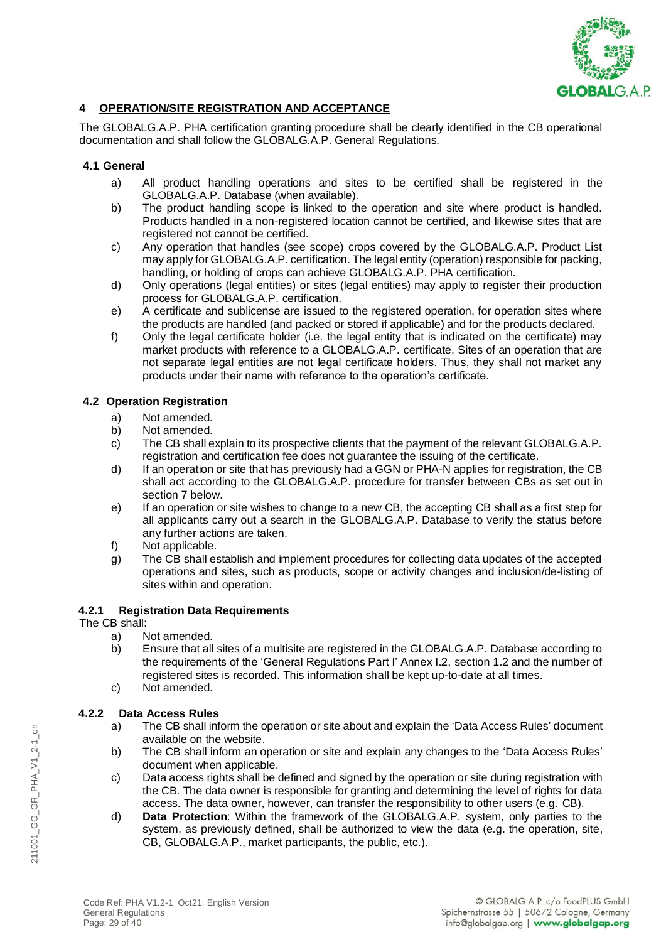

# **4 OPERATION/SITE REGISTRATION AND ACCEPTANCE**

The GLOBALG.A.P. PHA certification granting procedure shall be clearly identified in the CB operational documentation and shall follow the GLOBALG.A.P. General Regulations.

### **4.1 General**

- a) All product handling operations and sites to be certified shall be registered in the GLOBALG.A.P. Database (when available).
- b) The product handling scope is linked to the operation and site where product is handled. Products handled in a non-registered location cannot be certified, and likewise sites that are registered not cannot be certified.
- c) Any operation that handles (see scope) crops covered by the GLOBALG.A.P. Product List may apply for GLOBALG.A.P. certification. The legal entity (operation) responsible for packing, handling, or holding of crops can achieve GLOBALG.A.P. PHA certification.
- d) Only operations (legal entities) or sites (legal entities) may apply to register their production process for GLOBALG.A.P. certification.
- e) A certificate and sublicense are issued to the registered operation, for operation sites where the products are handled (and packed or stored if applicable) and for the products declared.
- f) Only the legal certificate holder (i.e. the legal entity that is indicated on the certificate) may market products with reference to a GLOBALG.A.P. certificate. Sites of an operation that are not separate legal entities are not legal certificate holders. Thus, they shall not market any products under their name with reference to the operation's certificate.

# **4.2 Operation Registration**

- a) Not amended.
- b) Not amended.
- c) The CB shall explain to its prospective clients that the payment of the relevant GLOBALG.A.P. registration and certification fee does not guarantee the issuing of the certificate.
- d) If an operation or site that has previously had a GGN or PHA-N applies for registration, the CB shall act according to the GLOBALG.A.P. procedure for transfer between CBs as set out in section 7 below.
- e) If an operation or site wishes to change to a new CB, the accepting CB shall as a first step for all applicants carry out a search in the GLOBALG.A.P. Database to verify the status before any further actions are taken.
- f) Not applicable.
- g) The CB shall establish and implement procedures for collecting data updates of the accepted operations and sites, such as products, scope or activity changes and inclusion/de-listing of sites within and operation.

### **4.2.1 Registration Data Requirements**

### The CB shall:

- a) Not amended.
- b) Ensure that all sites of a multisite are registered in the GLOBALG.A.P. Database according to the requirements of the 'General Regulations Part I' Annex I.2, section 1.2 and the number of registered sites is recorded. This information shall be kept up-to-date at all times.
- c) Not amended.

# **4.2.2 Data Access Rules**

- a) The CB shall inform the operation or site about and explain the 'Data Access Rules' document available on the website.
- b) The CB shall inform an operation or site and explain any changes to the 'Data Access Rules' document when applicable.
- c) Data access rights shall be defined and signed by the operation or site during registration with the CB. The data owner is responsible for granting and determining the level of rights for data access. The data owner, however, can transfer the responsibility to other users (e.g. CB).
- d) **Data Protection**: Within the framework of the GLOBALG.A.P. system, only parties to the system, as previously defined, shall be authorized to view the data (e.g. the operation, site, CB, GLOBALG.A.P., market participants, the public, etc.).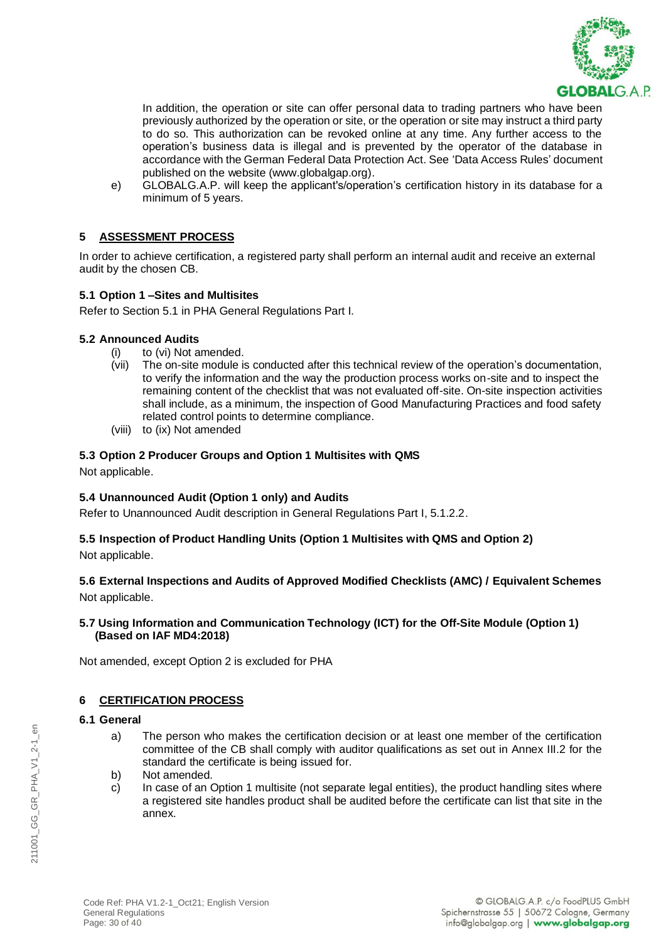

In addition, the operation or site can offer personal data to trading partners who have been previously authorized by the operation or site, or the operation or site may instruct a third party to do so. This authorization can be revoked online at any time. Any further access to the operation's business data is illegal and is prevented by the operator of the database in accordance with the German Federal Data Protection Act. See 'Data Access Rules' document published on the website (www.globalgap.org).

e) GLOBALG.A.P. will keep the applicant's/operation's certification history in its database for a minimum of 5 years.

# **5 ASSESSMENT PROCESS**

In order to achieve certification, a registered party shall perform an internal audit and receive an external audit by the chosen CB.

### **5.1 Option 1 –Sites and Multisites**

Refer to Section 5.1 in PHA General Regulations Part I.

### **5.2 Announced Audits**

- (i) to (vi) Not amended.
- (vii) The on-site module is conducted after this technical review of the operation's documentation, to verify the information and the way the production process works on-site and to inspect the remaining content of the checklist that was not evaluated off-site. On-site inspection activities shall include, as a minimum, the inspection of Good Manufacturing Practices and food safety related control points to determine compliance.
- (viii) to (ix) Not amended

### **5.3 Option 2 Producer Groups and Option 1 Multisites with QMS**

Not applicable.

### **5.4 Unannounced Audit (Option 1 only) and Audits**

Refer to Unannounced Audit description in General Regulations Part I, 5.1.2.2.

# **5.5 Inspection of Product Handling Units (Option 1 Multisites with QMS and Option 2)**

Not applicable.

# **5.6 External Inspections and Audits of Approved Modified Checklists (AMC) / Equivalent Schemes** Not applicable.

### **5.7 Using Information and Communication Technology (ICT) for the Off-Site Module (Option 1) (Based on IAF MD4:2018)**

Not amended, except Option 2 is excluded for PHA

### **6 CERTIFICATION PROCESS**

#### **6.1 General**

- a) The person who makes the certification decision or at least one member of the certification committee of the CB shall comply with auditor qualifications as set out in Annex III.2 for the standard the certificate is being issued for.
- b) Not amended.
- c) In case of an Option 1 multisite (not separate legal entities), the product handling sites where a registered site handles product shall be audited before the certificate can list that site in the annex.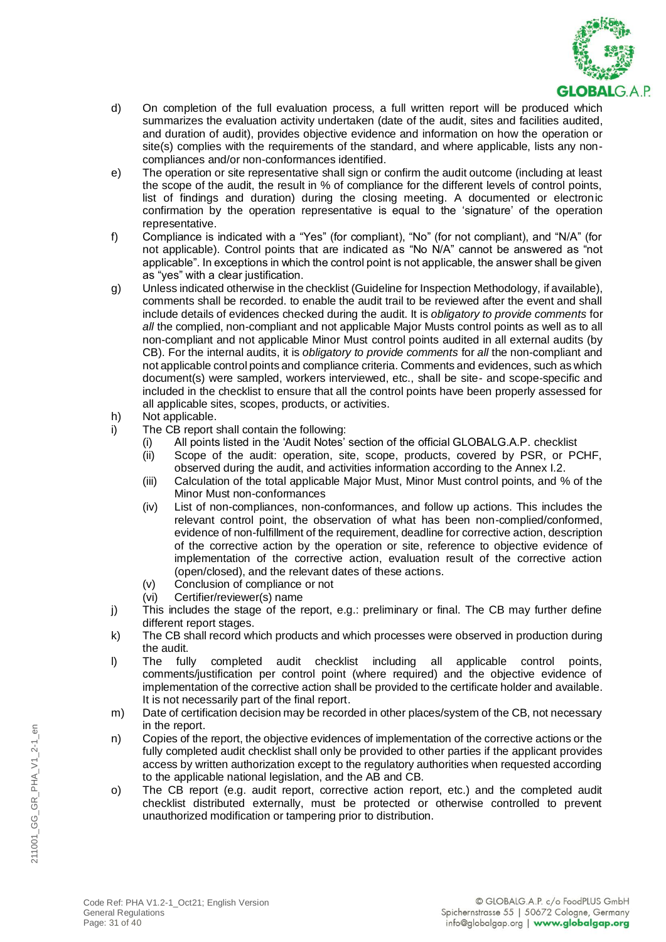

- d) On completion of the full evaluation process, a full written report will be produced which summarizes the evaluation activity undertaken (date of the audit, sites and facilities audited, and duration of audit), provides objective evidence and information on how the operation or site(s) complies with the requirements of the standard, and where applicable, lists any noncompliances and/or non-conformances identified.
- e) The operation or site representative shall sign or confirm the audit outcome (including at least the scope of the audit, the result in % of compliance for the different levels of control points, list of findings and duration) during the closing meeting. A documented or electronic confirmation by the operation representative is equal to the 'signature' of the operation representative.
- f) Compliance is indicated with a "Yes" (for compliant), "No" (for not compliant), and "N/A" (for not applicable). Control points that are indicated as "No N/A" cannot be answered as "not applicable". In exceptions in which the control point is not applicable, the answer shall be given as "yes" with a clear justification.
- g) Unless indicated otherwise in the checklist (Guideline for Inspection Methodology, if available), comments shall be recorded. to enable the audit trail to be reviewed after the event and shall include details of evidences checked during the audit. It is *obligatory to provide comments* for *all* the complied, non-compliant and not applicable Major Musts control points as well as to all non-compliant and not applicable Minor Must control points audited in all external audits (by CB). For the internal audits, it is *obligatory to provide comments* for *all* the non-compliant and not applicable control points and compliance criteria. Comments and evidences, such as which document(s) were sampled, workers interviewed, etc., shall be site- and scope-specific and included in the checklist to ensure that all the control points have been properly assessed for all applicable sites, scopes, products, or activities.
- h) Not applicable.
- i) The CB report shall contain the following:
	- (i) All points listed in the 'Audit Notes' section of the official GLOBALG.A.P. checklist
	- (ii) Scope of the audit: operation, site, scope, products, covered by PSR, or PCHF, observed during the audit, and activities information according to the Annex I.2.
	- (iii) Calculation of the total applicable Major Must, Minor Must control points, and % of the Minor Must non-conformances
	- (iv) List of non-compliances, non-conformances, and follow up actions. This includes the relevant control point, the observation of what has been non-complied/conformed, evidence of non-fulfillment of the requirement, deadline for corrective action, description of the corrective action by the operation or site, reference to objective evidence of implementation of the corrective action, evaluation result of the corrective action (open/closed), and the relevant dates of these actions.
	- (v) Conclusion of compliance or not
	- (vi) Certifier/reviewer(s) name
- j) This includes the stage of the report, e.g.: preliminary or final. The CB may further define different report stages.
- k) The CB shall record which products and which processes were observed in production during the audit.
- l) The fully completed audit checklist including all applicable control points, comments/justification per control point (where required) and the objective evidence of implementation of the corrective action shall be provided to the certificate holder and available. It is not necessarily part of the final report.
- m) Date of certification decision may be recorded in other places/system of the CB, not necessary in the report.
- n) Copies of the report, the objective evidences of implementation of the corrective actions or the fully completed audit checklist shall only be provided to other parties if the applicant provides access by written authorization except to the regulatory authorities when requested according to the applicable national legislation, and the AB and CB.
- o) The CB report (e.g. audit report, corrective action report, etc.) and the completed audit checklist distributed externally, must be protected or otherwise controlled to prevent unauthorized modification or tampering prior to distribution.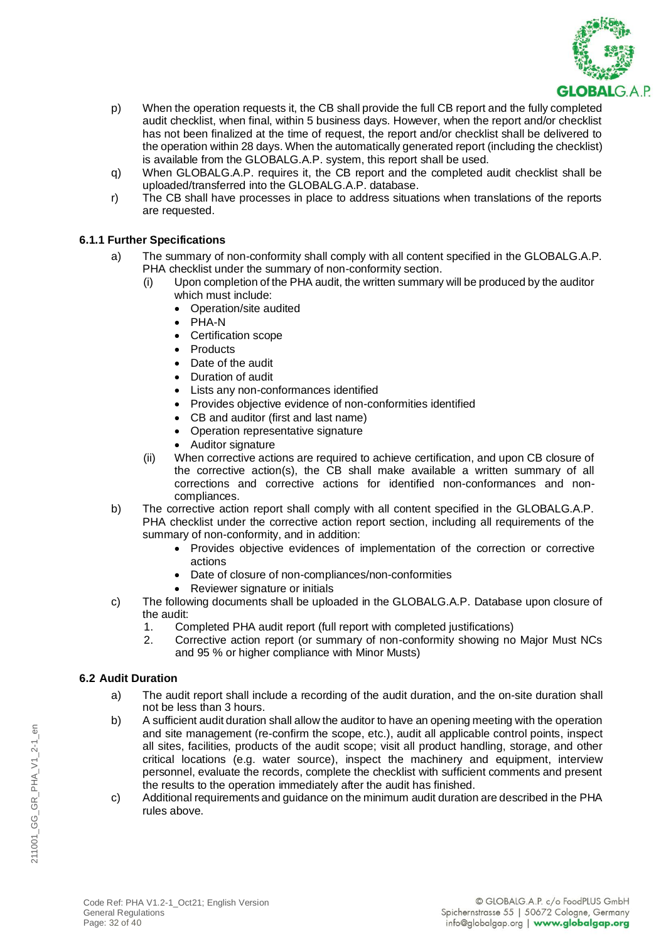

- p) When the operation requests it, the CB shall provide the full CB report and the fully completed audit checklist, when final, within 5 business days. However, when the report and/or checklist has not been finalized at the time of request, the report and/or checklist shall be delivered to the operation within 28 days. When the automatically generated report (including the checklist) is available from the GLOBALG.A.P. system, this report shall be used.
- q) When GLOBALG.A.P. requires it, the CB report and the completed audit checklist shall be uploaded/transferred into the GLOBALG.A.P. database.
- r) The CB shall have processes in place to address situations when translations of the reports are requested.

# **6.1.1 Further Specifications**

- a) The summary of non-conformity shall comply with all content specified in the GLOBALG.A.P. PHA checklist under the summary of non-conformity section.
	- (i) Upon completion of the PHA audit, the written summary will be produced by the auditor which must include:
		- Operation/site audited
		- PHA-N
		- Certification scope
		- Products
		- Date of the audit
		- Duration of audit
		- Lists any non-conformances identified
		- Provides objective evidence of non-conformities identified
		- CB and auditor (first and last name)
		- Operation representative signature
		- Auditor signature
	- (ii) When corrective actions are required to achieve certification, and upon CB closure of the corrective action(s), the CB shall make available a written summary of all corrections and corrective actions for identified non-conformances and noncompliances.
- b) The corrective action report shall comply with all content specified in the GLOBALG.A.P. PHA checklist under the corrective action report section, including all requirements of the summary of non-conformity, and in addition:
	- Provides objective evidences of implementation of the correction or corrective actions
	- Date of closure of non-compliances/non-conformities
	- Reviewer signature or initials
- c) The following documents shall be uploaded in the GLOBALG.A.P. Database upon closure of the audit:
	- 1. Completed PHA audit report (full report with completed justifications)
	- 2. Corrective action report (or summary of non-conformity showing no Major Must NCs and 95 % or higher compliance with Minor Musts)

# **6.2 Audit Duration**

- a) The audit report shall include a recording of the audit duration, and the on-site duration shall not be less than 3 hours.
- b) A sufficient audit duration shall allow the auditor to have an opening meeting with the operation and site management (re-confirm the scope, etc.), audit all applicable control points, inspect all sites, facilities, products of the audit scope; visit all product handling, storage, and other critical locations (e.g. water source), inspect the machinery and equipment, interview personnel, evaluate the records, complete the checklist with sufficient comments and present the results to the operation immediately after the audit has finished.
- c) Additional requirements and guidance on the minimum audit duration are described in the PHA rules above.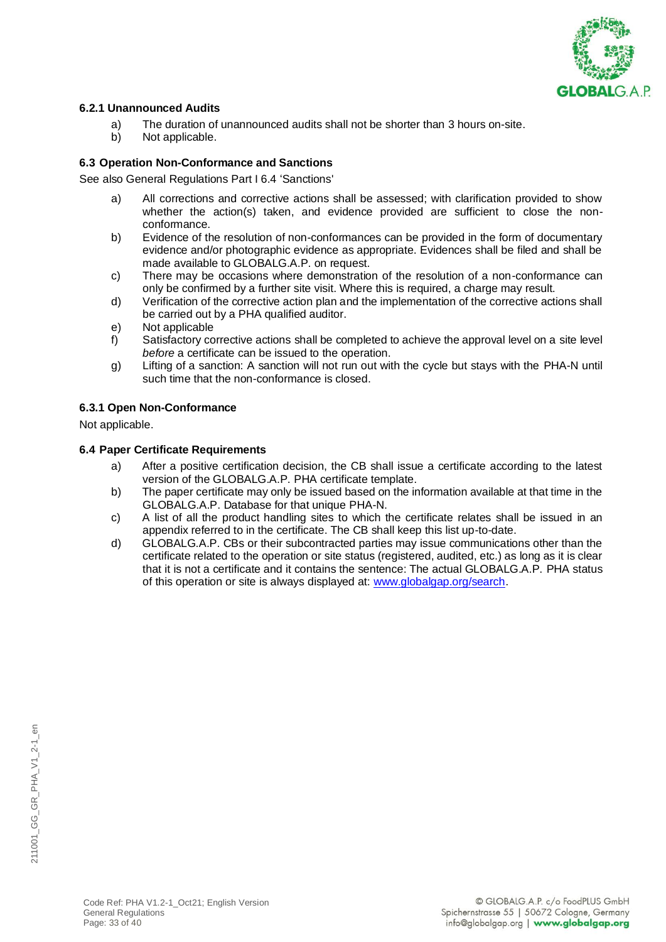

### **6.2.1 Unannounced Audits**

- a) The duration of unannounced audits shall not be shorter than 3 hours on-site.
- b) Not applicable.

# **6.3 Operation Non-Conformance and Sanctions**

See also General Regulations Part I 6.4 'Sanctions'

- a) All corrections and corrective actions shall be assessed; with clarification provided to show whether the action(s) taken, and evidence provided are sufficient to close the nonconformance.
- b) Evidence of the resolution of non-conformances can be provided in the form of documentary evidence and/or photographic evidence as appropriate. Evidences shall be filed and shall be made available to GLOBALG.A.P. on request.
- c) There may be occasions where demonstration of the resolution of a non-conformance can only be confirmed by a further site visit. Where this is required, a charge may result.
- d) Verification of the corrective action plan and the implementation of the corrective actions shall be carried out by a PHA qualified auditor.
- e) Not applicable
- f) Satisfactory corrective actions shall be completed to achieve the approval level on a site level *before* a certificate can be issued to the operation.
- g) Lifting of a sanction: A sanction will not run out with the cycle but stays with the PHA-N until such time that the non-conformance is closed.

# **6.3.1 Open Non-Conformance**

Not applicable.

### **6.4 Paper Certificate Requirements**

- a) After a positive certification decision, the CB shall issue a certificate according to the latest version of the GLOBALG.A.P. PHA certificate template.
- b) The paper certificate may only be issued based on the information available at that time in the GLOBALG.A.P. Database for that unique PHA-N.
- c) A list of all the product handling sites to which the certificate relates shall be issued in an appendix referred to in the certificate. The CB shall keep this list up-to-date.
- d) GLOBALG.A.P. CBs or their subcontracted parties may issue communications other than the certificate related to the operation or site status (registered, audited, etc.) as long as it is clear that it is not a certificate and it contains the sentence: The actual GLOBALG.A.P. PHA status of this operation or site is always displayed at: [www.globalgap.org/search.](http://www.globalgap.org/search)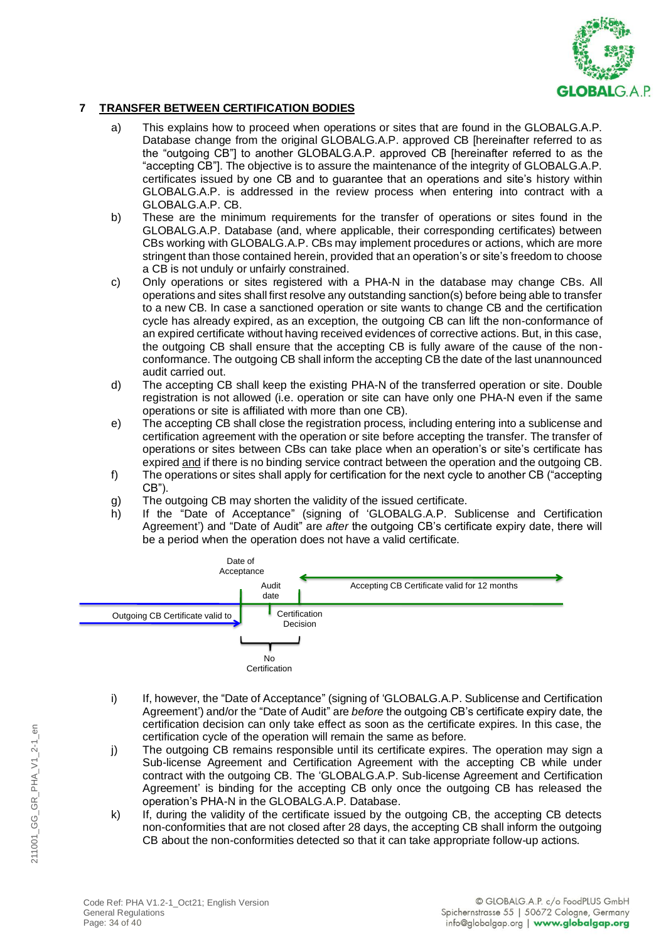

# **7 TRANSFER BETWEEN CERTIFICATION BODIES**

- a) This explains how to proceed when operations or sites that are found in the GLOBALG.A.P. Database change from the original GLOBALG.A.P. approved CB [hereinafter referred to as the "outgoing CB"] to another GLOBALG.A.P. approved CB [hereinafter referred to as the "accepting CB"]. The objective is to assure the maintenance of the integrity of GLOBALG.A.P. certificates issued by one CB and to guarantee that an operations and site's history within GLOBALG.A.P. is addressed in the review process when entering into contract with a GLOBALG.A.P. CB.
- b) These are the minimum requirements for the transfer of operations or sites found in the GLOBALG.A.P. Database (and, where applicable, their corresponding certificates) between CBs working with GLOBALG.A.P. CBs may implement procedures or actions, which are more stringent than those contained herein, provided that an operation's or site's freedom to choose a CB is not unduly or unfairly constrained.
- c) Only operations or sites registered with a PHA-N in the database may change CBs. All operations and sites shall first resolve any outstanding sanction(s) before being able to transfer to a new CB. In case a sanctioned operation or site wants to change CB and the certification cycle has already expired, as an exception, the outgoing CB can lift the non-conformance of an expired certificate without having received evidences of corrective actions. But, in this case, the outgoing CB shall ensure that the accepting CB is fully aware of the cause of the nonconformance. The outgoing CB shall inform the accepting CB the date of the last unannounced audit carried out.
- d) The accepting CB shall keep the existing PHA-N of the transferred operation or site. Double registration is not allowed (i.e. operation or site can have only one PHA-N even if the same operations or site is affiliated with more than one CB).
- e) The accepting CB shall close the registration process, including entering into a sublicense and certification agreement with the operation or site before accepting the transfer. The transfer of operations or sites between CBs can take place when an operation's or site's certificate has expired and if there is no binding service contract between the operation and the outgoing CB.
- f) The operations or sites shall apply for certification for the next cycle to another CB ("accepting CB").
- g) The outgoing CB may shorten the validity of the issued certificate.
- h) If the "Date of Acceptance" (signing of 'GLOBALG.A.P. Sublicense and Certification Agreement') and "Date of Audit" are *after* the outgoing CB's certificate expiry date, there will be a period when the operation does not have a valid certificate.



- i) If, however, the "Date of Acceptance" (signing of 'GLOBALG.A.P. Sublicense and Certification Agreement') and/or the "Date of Audit" are *before* the outgoing CB's certificate expiry date, the certification decision can only take effect as soon as the certificate expires. In this case, the certification cycle of the operation will remain the same as before.
- j) The outgoing CB remains responsible until its certificate expires. The operation may sign a Sub-license Agreement and Certification Agreement with the accepting CB while under contract with the outgoing CB. The 'GLOBALG.A.P. Sub-license Agreement and Certification Agreement' is binding for the accepting CB only once the outgoing CB has released the operation's PHA-N in the GLOBALG.A.P. Database.
- k) If, during the validity of the certificate issued by the outgoing CB, the accepting CB detects non-conformities that are not closed after 28 days, the accepting CB shall inform the outgoing CB about the non-conformities detected so that it can take appropriate follow-up actions.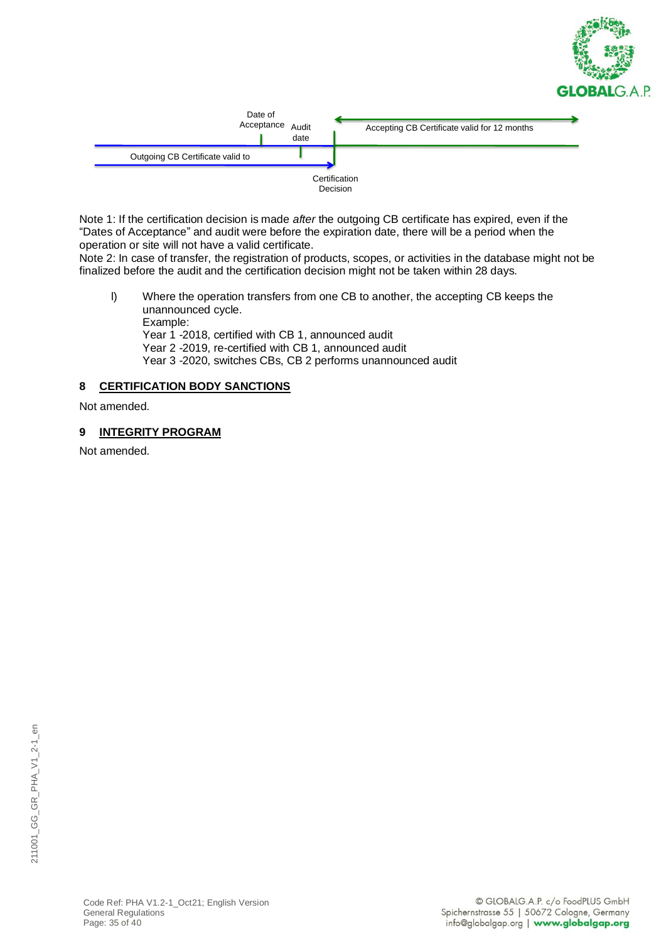



Note 1: If the certification decision is made *after* the outgoing CB certificate has expired, even if the "Dates of Acceptance" and audit were before the expiration date, there will be a period when the operation or site will not have a valid certificate.

Note 2: In case of transfer, the registration of products, scopes, or activities in the database might not be finalized before the audit and the certification decision might not be taken within 28 days.

l) Where the operation transfers from one CB to another, the accepting CB keeps the unannounced cycle. Example: Year 1 -2018, certified with CB 1, announced audit Year 2 -2019, re-certified with CB 1, announced audit

Year 3 -2020, switches CBs, CB 2 performs unannounced audit

# **8 CERTIFICATION BODY SANCTIONS**

Not amended.

# **9 INTEGRITY PROGRAM**

Not amended.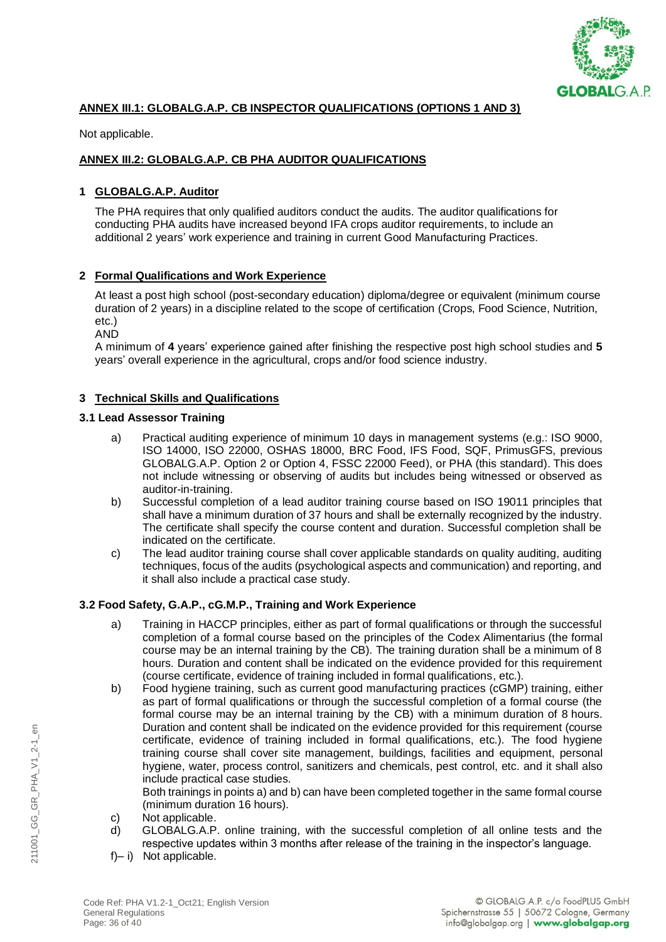

# **ANNEX III.1: GLOBALG.A.P. CB INSPECTOR QUALIFICATIONS (OPTIONS 1 AND 3)**

Not applicable.

### **ANNEX III.2: GLOBALG.A.P. CB PHA AUDITOR QUALIFICATIONS**

### **1 GLOBALG.A.P. Auditor**

The PHA requires that only qualified auditors conduct the audits. The auditor qualifications for conducting PHA audits have increased beyond IFA crops auditor requirements, to include an additional 2 years' work experience and training in current Good Manufacturing Practices.

### **2 Formal Qualifications and Work Experience**

At least a post high school (post-secondary education) diploma/degree or equivalent (minimum course duration of 2 years) in a discipline related to the scope of certification (Crops, Food Science, Nutrition, etc.)

AND

A minimum of **4** years' experience gained after finishing the respective post high school studies and **5** years' overall experience in the agricultural, crops and/or food science industry.

### **3 Technical Skills and Qualifications**

### **3.1 Lead Assessor Training**

- a) Practical auditing experience of minimum 10 days in management systems (e.g.: ISO 9000, ISO 14000, ISO 22000, OSHAS 18000, BRC Food, IFS Food, SQF, PrimusGFS, previous GLOBALG.A.P. Option 2 or Option 4, FSSC 22000 Feed), or PHA (this standard). This does not include witnessing or observing of audits but includes being witnessed or observed as auditor-in-training.
- b) Successful completion of a lead auditor training course based on ISO 19011 principles that shall have a minimum duration of 37 hours and shall be externally recognized by the industry. The certificate shall specify the course content and duration. Successful completion shall be indicated on the certificate.
- c) The lead auditor training course shall cover applicable standards on quality auditing, auditing techniques, focus of the audits (psychological aspects and communication) and reporting, and it shall also include a practical case study.

### **3.2 Food Safety, G.A.P., cG.M.P., Training and Work Experience**

- a) Training in HACCP principles, either as part of formal qualifications or through the successful completion of a formal course based on the principles of the Codex Alimentarius (the formal course may be an internal training by the CB). The training duration shall be a minimum of 8 hours. Duration and content shall be indicated on the evidence provided for this requirement (course certificate, evidence of training included in formal qualifications, etc.).
- b) Food hygiene training, such as current good manufacturing practices (cGMP) training, either as part of formal qualifications or through the successful completion of a formal course (the formal course may be an internal training by the CB) with a minimum duration of 8 hours. Duration and content shall be indicated on the evidence provided for this requirement (course certificate, evidence of training included in formal qualifications, etc.). The food hygiene training course shall cover site management, buildings, facilities and equipment, personal hygiene, water, process control, sanitizers and chemicals, pest control, etc. and it shall also include practical case studies.

Both trainings in points a) and b) can have been completed together in the same formal course (minimum duration 16 hours).

- c) Not applicable.
- d) GLOBALG.A.P. online training, with the successful completion of all online tests and the respective updates within 3 months after release of the training in the inspector's language.
- f)– i) Not applicable.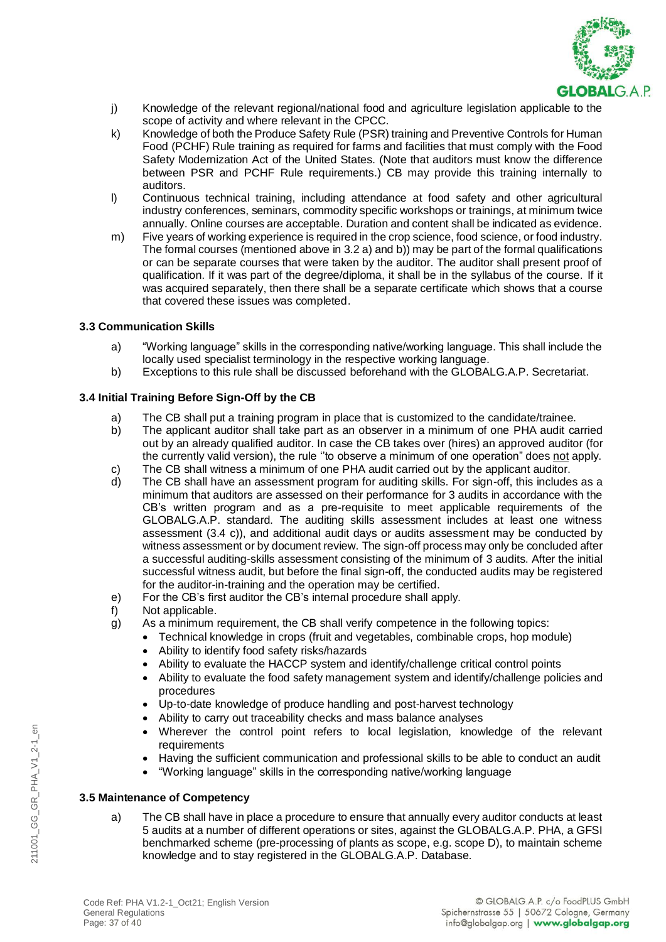

- j) Knowledge of the relevant regional/national food and agriculture legislation applicable to the scope of activity and where relevant in the CPCC.
- k) Knowledge of both the Produce Safety Rule (PSR) training and Preventive Controls for Human Food (PCHF) Rule training as required for farms and facilities that must comply with the Food Safety Modernization Act of the United States. (Note that auditors must know the difference between PSR and PCHF Rule requirements.) CB may provide this training internally to auditors.
- l) Continuous technical training, including attendance at food safety and other agricultural industry conferences, seminars, commodity specific workshops or trainings, at minimum twice annually. Online courses are acceptable. Duration and content shall be indicated as evidence.
- m) Five years of working experience is required in the crop science, food science, or food industry. The formal courses (mentioned above in 3.2 a) and b)) may be part of the formal qualifications or can be separate courses that were taken by the auditor. The auditor shall present proof of qualification. If it was part of the degree/diploma, it shall be in the syllabus of the course. If it was acquired separately, then there shall be a separate certificate which shows that a course that covered these issues was completed.

### **3.3 Communication Skills**

- a) "Working language" skills in the corresponding native/working language. This shall include the locally used specialist terminology in the respective working language.
- b) Exceptions to this rule shall be discussed beforehand with the GLOBALG.A.P. Secretariat.

# **3.4 Initial Training Before Sign-Off by the CB**

- a) The CB shall put a training program in place that is customized to the candidate/trainee.
- b) The applicant auditor shall take part as an observer in a minimum of one PHA audit carried out by an already qualified auditor. In case the CB takes over (hires) an approved auditor (for the currently valid version), the rule "to observe a minimum of one operation" does not apply.
- c) The CB shall witness a minimum of one PHA audit carried out by the applicant auditor.<br>d) The CB shall have an assessment program for auditing skills. For sign-off, this include
- The CB shall have an assessment program for auditing skills. For sign-off, this includes as a minimum that auditors are assessed on their performance for 3 audits in accordance with the CB's written program and as a pre-requisite to meet applicable requirements of the GLOBALG.A.P. standard. The auditing skills assessment includes at least one witness assessment (3.4 c)), and additional audit days or audits assessment may be conducted by witness assessment or by document review. The sign-off process may only be concluded after a successful auditing-skills assessment consisting of the minimum of 3 audits. After the initial successful witness audit, but before the final sign-off, the conducted audits may be registered for the auditor-in-training and the operation may be certified.
- e) For the CB's first auditor the CB's internal procedure shall apply.
- f) Not applicable.
- g) As a minimum requirement, the CB shall verify competence in the following topics:
	- Technical knowledge in crops (fruit and vegetables, combinable crops, hop module)
		- Ability to identify food safety risks/hazards
		- Ability to evaluate the HACCP system and identify/challenge critical control points
		- Ability to evaluate the food safety management system and identify/challenge policies and procedures
		- Up-to-date knowledge of produce handling and post-harvest technology
		- Ability to carry out traceability checks and mass balance analyses
		- Wherever the control point refers to local legislation, knowledge of the relevant requirements
		- Having the sufficient communication and professional skills to be able to conduct an audit
		- "Working language" skills in the corresponding native/working language

### **3.5 Maintenance of Competency**

a) The CB shall have in place a procedure to ensure that annually every auditor conducts at least 5 audits at a number of different operations or sites, against the GLOBALG.A.P. PHA, a GFSI benchmarked scheme (pre-processing of plants as scope, e.g. scope D), to maintain scheme knowledge and to stay registered in the GLOBALG.A.P. Database.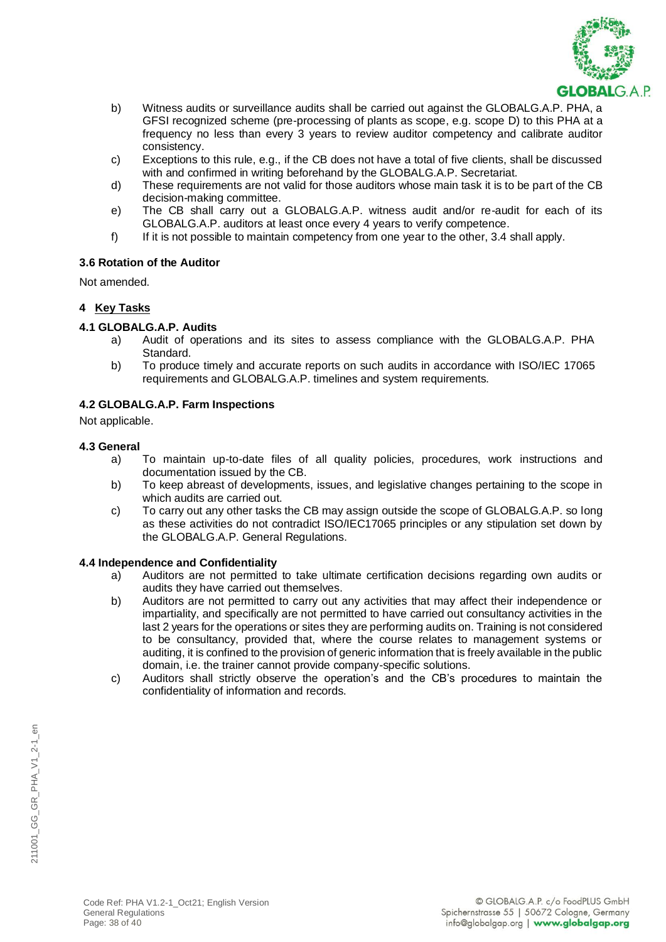

- b) Witness audits or surveillance audits shall be carried out against the GLOBALG.A.P. PHA, a GFSI recognized scheme (pre-processing of plants as scope, e.g. scope D) to this PHA at a frequency no less than every 3 years to review auditor competency and calibrate auditor consistency.
- c) Exceptions to this rule, e.g., if the CB does not have a total of five clients, shall be discussed with and confirmed in writing beforehand by the GLOBALG.A.P. Secretariat.
- d) These requirements are not valid for those auditors whose main task it is to be part of the CB decision-making committee.
- e) The CB shall carry out a GLOBALG.A.P. witness audit and/or re-audit for each of its GLOBALG.A.P. auditors at least once every 4 years to verify competence.
- f) If it is not possible to maintain competency from one year to the other, 3.4 shall apply.

### **3.6 Rotation of the Auditor**

Not amended.

### **4 Key Tasks**

### **4.1 GLOBALG.A.P. Audits**

- a) Audit of operations and its sites to assess compliance with the GLOBALG.A.P. PHA Standard.
- b) To produce timely and accurate reports on such audits in accordance with ISO/IEC 17065 requirements and GLOBALG.A.P. timelines and system requirements.

### **4.2 GLOBALG.A.P. Farm Inspections**

Not applicable.

### **4.3 General**

- a) To maintain up-to-date files of all quality policies, procedures, work instructions and documentation issued by the CB.
- b) To keep abreast of developments, issues, and legislative changes pertaining to the scope in which audits are carried out.
- c) To carry out any other tasks the CB may assign outside the scope of GLOBALG.A.P. so long as these activities do not contradict ISO/IEC17065 principles or any stipulation set down by the GLOBALG.A.P. General Regulations.

### **4.4 Independence and Confidentiality**

- a) Auditors are not permitted to take ultimate certification decisions regarding own audits or audits they have carried out themselves.
- b) Auditors are not permitted to carry out any activities that may affect their independence or impartiality, and specifically are not permitted to have carried out consultancy activities in the last 2 years for the operations or sites they are performing audits on. Training is not considered to be consultancy, provided that, where the course relates to management systems or auditing, it is confined to the provision of generic information that is freely available in the public domain, i.e. the trainer cannot provide company-specific solutions.
- c) Auditors shall strictly observe the operation's and the CB's procedures to maintain the confidentiality of information and records.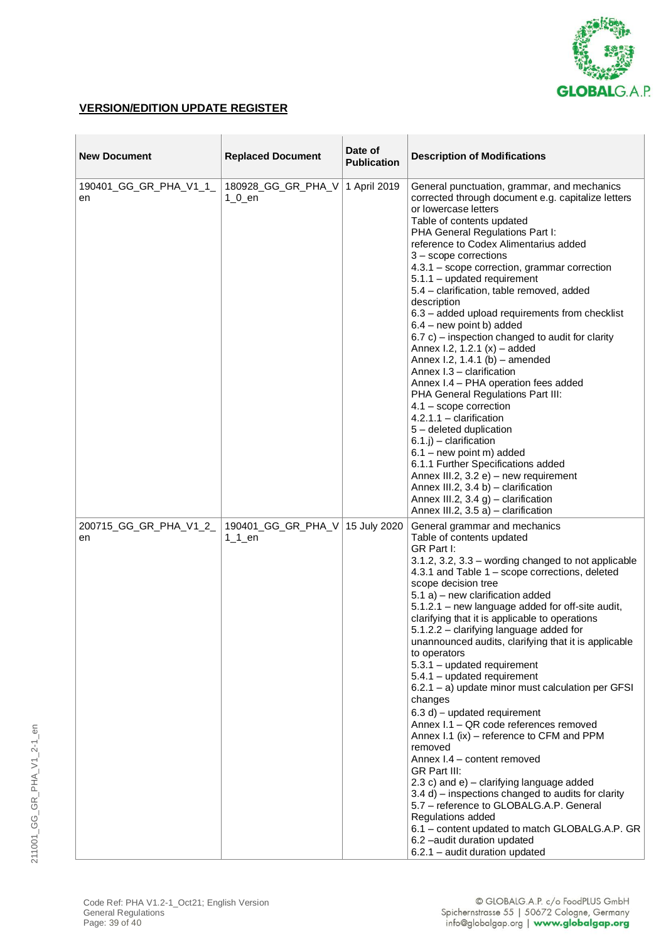

# **VERSION/EDITION UPDATE REGISTER**

| <b>New Document</b>          | <b>Replaced Document</b>        | Date of<br><b>Publication</b> | <b>Description of Modifications</b>                                                                                                                                                                                                                                                                                                                                                                                                                                                                                                                                                                                                                                                                                                                                                                                                                                                                                                                                                                                                                                                  |
|------------------------------|---------------------------------|-------------------------------|--------------------------------------------------------------------------------------------------------------------------------------------------------------------------------------------------------------------------------------------------------------------------------------------------------------------------------------------------------------------------------------------------------------------------------------------------------------------------------------------------------------------------------------------------------------------------------------------------------------------------------------------------------------------------------------------------------------------------------------------------------------------------------------------------------------------------------------------------------------------------------------------------------------------------------------------------------------------------------------------------------------------------------------------------------------------------------------|
| 190401_GG_GR_PHA_V1_1_<br>en | 180928_GG_GR_PHA_V<br>$1_0$ _en | 1 April 2019                  | General punctuation, grammar, and mechanics<br>corrected through document e.g. capitalize letters<br>or lowercase letters<br>Table of contents updated<br>PHA General Regulations Part I:<br>reference to Codex Alimentarius added<br>$3 -$ scope corrections<br>4.3.1 - scope correction, grammar correction<br>5.1.1 - updated requirement<br>5.4 - clarification, table removed, added<br>description<br>6.3 - added upload requirements from checklist<br>$6.4$ – new point b) added<br>$6.7$ c) – inspection changed to audit for clarity<br>Annex I.2, 1.2.1 $(x)$ – added<br>Annex I.2, 1.4.1 (b) - amended<br>Annex I.3 - clarification<br>Annex I.4 - PHA operation fees added<br>PHA General Regulations Part III:<br>$4.1 -$ scope correction<br>$4.2.1.1 -$ clarification<br>5 - deleted duplication<br>$(6.1.j)$ – clarification<br>$6.1 - new point m)$ added<br>6.1.1 Further Specifications added<br>Annex III.2, 3.2 e) - new requirement<br>Annex III.2, $3.4 b$ ) – clarification<br>Annex III.2, 3.4 g) - clarification<br>Annex III.2, $3.5$ a) – clarification |
| 200715_GG_GR_PHA_V1_2_<br>en | 190401_GG_GR_PHA_V<br>$11$ en   | 15 July 2020                  | General grammar and mechanics<br>Table of contents updated<br>GR Part I:<br>3.1.2, 3.2, 3.3 – wording changed to not applicable<br>4.3.1 and Table 1 - scope corrections, deleted<br>scope decision tree<br>5.1 a) - new clarification added<br>5.1.2.1 - new language added for off-site audit,<br>clarifying that it is applicable to operations<br>5.1.2.2 - clarifying language added for<br>unannounced audits, clarifying that it is applicable<br>to operators<br>5.3.1 - updated requirement<br>5.4.1 - updated requirement<br>6.2.1 - a) update minor must calculation per GFSI<br>changes<br>6.3 d) - updated requirement<br>Annex I.1 - QR code references removed<br>Annex I.1 (ix) - reference to CFM and PPM<br>removed<br>Annex I.4 - content removed<br>GR Part III:<br>2.3 c) and $e$ ) – clarifying language added<br>3.4 d) - inspections changed to audits for clarity<br>5.7 - reference to GLOBALG.A.P. General<br>Regulations added<br>6.1 - content updated to match GLOBALG.A.P. GR<br>6.2 -audit duration updated<br>6.2.1 - audit duration updated        |